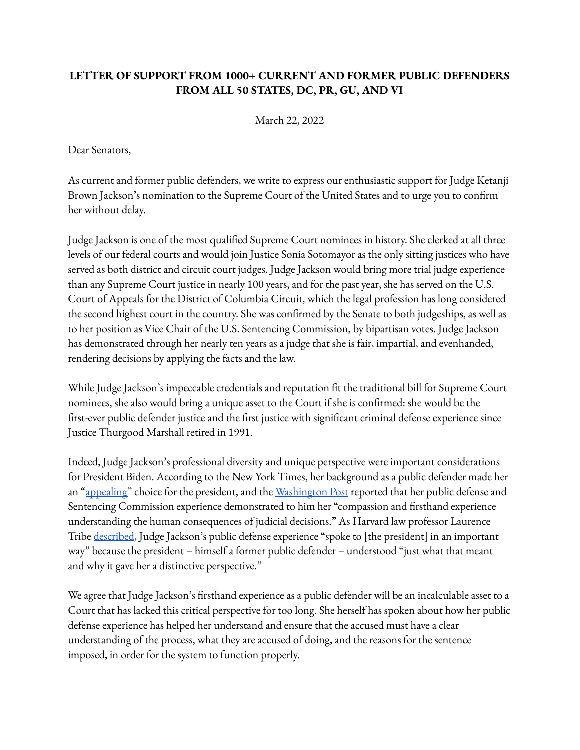## **LETTER OF SUPPORT FROM 1000+ CURRENT AND FORMER PUBLIC DEFENDERS FROM ALL 50 STATES, DC, PR, GU, AND VI**

March 22, 2022

Dear Senators,

As current and former public defenders, we write to express our enthusiastic support for Judge Ketanji Brown Jackson's nomination to the Supreme Court of the United States and to urge you to confirm her without delay.

Judge Jackson is one of the most qualified Supreme Court nominees in history. She clerked at all three levels of our federal courts and would join Justice Sonia Sotomayor as the only sitting justices who have served as both district and circuit court judges. Judge Jackson would bring more trial judge experience than any Supreme Court justice in nearly 100 years, and for the past year, she has served on the U.S. Court of Appeals for the District of Columbia Circuit, which the legal profession has long considered the second highest court in the country. She was confirmed by the Senate to both judgeships, as well as to her position as Vice Chair of the U.S. Sentencing Commission, by bipartisan votes. Judge Jackson has demonstrated through her nearly ten years as a judge that she is fair, impartial, and evenhanded, rendering decisions by applying the facts and the law.

While Judge Jackson's impeccable credentials and reputation fit the traditional bill for Supreme Court nominees, she also would bring a unique asset to the Court if she is confirmed: she would be the first-ever public defender justice and the first justice with significant criminal defense experience since Justice Thurgood Marshall retired in 1991.

Indeed, Judge Jackson's professional diversity and unique perspective were important considerations for President Biden. According to the New York Times, her background as a public defender made her an "[appealing"](https://www.nytimes.com/2022/02/25/us/politics/ketanji-brown-jackson-supreme-court.html) choice for the president, and the [Washington](https://www.washingtonpost.com/politics/2022/02/26/biden-brown-jackson-supreme-court/) Post reported that her public defense and Sentencing Commission experience demonstrated to him her "compassion and firsthand experience understanding the human consequences of judicial decisions." As Harvard law professor Laurence Tribe [described](https://www.politico.com/news/2022/02/26/how-biden-decided-on-ketanji-brown-jackson-00012088), Judge Jackson's public defense experience "spoke to [the president] in an important way" because the president – himself a former public defender – understood "just what that meant and why it gave her a distinctive perspective."

We agree that Judge Jackson's firsthand experience as a public defender will be an incalculable asset to a Court that has lacked this critical perspective for too long. She herself has spoken about how her public defense experience has helped her understand and ensure that the accused must have a clear understanding of the process, what they are accused of doing, and the reasons for the sentence imposed, in order for the system to function properly.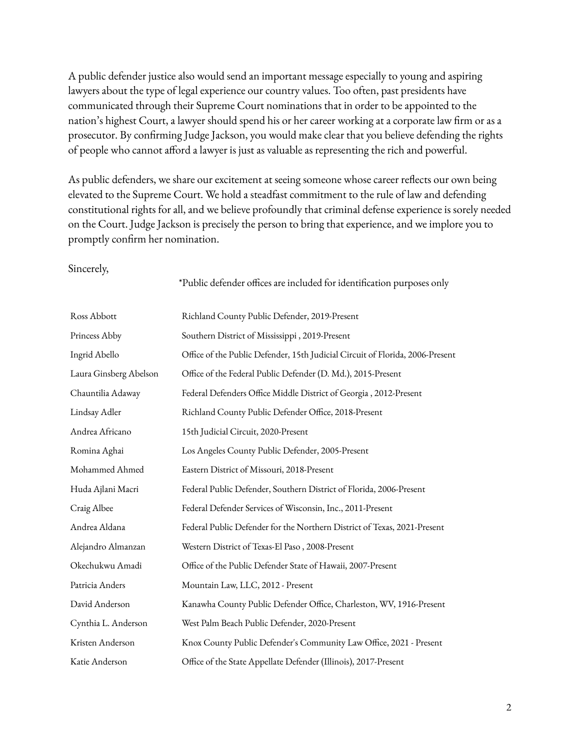A public defender justice also would send an important message especially to young and aspiring lawyers about the type of legal experience our country values. Too often, past presidents have communicated through their Supreme Court nominations that in order to be appointed to the nation's highest Court, a lawyer should spend his or her career working at a corporate law firm or as a prosecutor. By confirming Judge Jackson, you would make clear that you believe defending the rights of people who cannot afford a lawyer is just as valuable as representing the rich and powerful.

As public defenders, we share our excitement at seeing someone whose career reflects our own being elevated to the Supreme Court. We hold a steadfast commitment to the rule of law and defending constitutional rights for all, and we believe profoundly that criminal defense experience is sorely needed on the Court. Judge Jackson is precisely the person to bring that experience, and we implore you to promptly confirm her nomination.

## Sincerely,

\*Public defender offices are included for identification purposes only

| Ross Abbott            | Richland County Public Defender, 2019-Present                                 |
|------------------------|-------------------------------------------------------------------------------|
| Princess Abby          | Southern District of Mississippi, 2019-Present                                |
| Ingrid Abello          | Office of the Public Defender, 15th Judicial Circuit of Florida, 2006-Present |
| Laura Ginsberg Abelson | Office of the Federal Public Defender (D. Md.), 2015-Present                  |
| Chauntilia Adaway      | Federal Defenders Office Middle District of Georgia, 2012-Present             |
| Lindsay Adler          | Richland County Public Defender Office, 2018-Present                          |
| Andrea Africano        | 15th Judicial Circuit, 2020-Present                                           |
| Romina Aghai           | Los Angeles County Public Defender, 2005-Present                              |
| Mohammed Ahmed         | Eastern District of Missouri, 2018-Present                                    |
| Huda Ajlani Macri      | Federal Public Defender, Southern District of Florida, 2006-Present           |
| Craig Albee            | Federal Defender Services of Wisconsin, Inc., 2011-Present                    |
| Andrea Aldana          | Federal Public Defender for the Northern District of Texas, 2021-Present      |
| Alejandro Almanzan     | Western District of Texas-El Paso, 2008-Present                               |
| Okechukwu Amadi        | Office of the Public Defender State of Hawaii, 2007-Present                   |
| Patricia Anders        | Mountain Law, LLC, 2012 - Present                                             |
| David Anderson         | Kanawha County Public Defender Office, Charleston, WV, 1916-Present           |
| Cynthia L. Anderson    | West Palm Beach Public Defender, 2020-Present                                 |
| Kristen Anderson       | Knox County Public Defender's Community Law Office, 2021 - Present            |
| Katie Anderson         | Office of the State Appellate Defender (Illinois), 2017-Present               |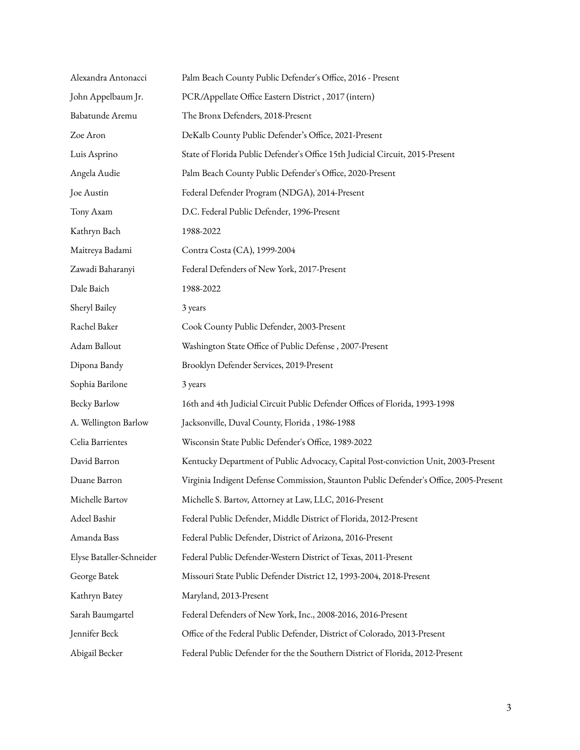| Alexandra Antonacci      | Palm Beach County Public Defender's Office, 2016 - Present                            |
|--------------------------|---------------------------------------------------------------------------------------|
| John Appelbaum Jr.       | PCR/Appellate Office Eastern District, 2017 (intern)                                  |
| Babatunde Aremu          | The Bronx Defenders, 2018-Present                                                     |
| Zoe Aron                 | DeKalb County Public Defender's Office, 2021-Present                                  |
| Luis Asprino             | State of Florida Public Defender's Office 15th Judicial Circuit, 2015-Present         |
| Angela Audie             | Palm Beach County Public Defender's Office, 2020-Present                              |
| Joe Austin               | Federal Defender Program (NDGA), 2014-Present                                         |
| Tony Axam                | D.C. Federal Public Defender, 1996-Present                                            |
| Kathryn Bach             | 1988-2022                                                                             |
| Maitreya Badami          | Contra Costa (CA), 1999-2004                                                          |
| Zawadi Baharanyi         | Federal Defenders of New York, 2017-Present                                           |
| Dale Baich               | 1988-2022                                                                             |
| Sheryl Bailey            | 3 years                                                                               |
| Rachel Baker             | Cook County Public Defender, 2003-Present                                             |
| Adam Ballout             | Washington State Office of Public Defense, 2007-Present                               |
| Dipona Bandy             | Brooklyn Defender Services, 2019-Present                                              |
| Sophia Barilone          | 3 years                                                                               |
| Becky Barlow             | 16th and 4th Judicial Circuit Public Defender Offices of Florida, 1993-1998           |
| A. Wellington Barlow     | Jacksonville, Duval County, Florida, 1986-1988                                        |
| Celia Barrientes         | Wisconsin State Public Defender's Office, 1989-2022                                   |
| David Barron             | Kentucky Department of Public Advocacy, Capital Post-conviction Unit, 2003-Present    |
| Duane Barron             | Virginia Indigent Defense Commission, Staunton Public Defender's Office, 2005-Present |
| Michelle Bartov          | Michelle S. Bartov, Attorney at Law, LLC, 2016-Present                                |
| Adeel Bashir             | Federal Public Defender, Middle District of Florida, 2012-Present                     |
| Amanda Bass              | Federal Public Defender, District of Arizona, 2016-Present                            |
| Elyse Bataller-Schneider | Federal Public Defender-Western District of Texas, 2011-Present                       |
| George Batek             | Missouri State Public Defender District 12, 1993-2004, 2018-Present                   |
| Kathryn Batey            | Maryland, 2013-Present                                                                |
| Sarah Baumgartel         | Federal Defenders of New York, Inc., 2008-2016, 2016-Present                          |
| Jennifer Beck            | Office of the Federal Public Defender, District of Colorado, 2013-Present             |
| Abigail Becker           | Federal Public Defender for the the Southern District of Florida, 2012-Present        |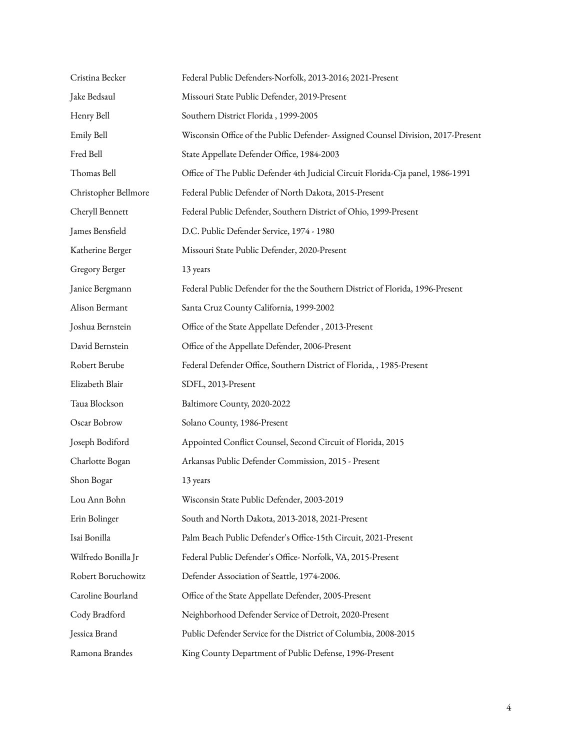| Cristina Becker      | Federal Public Defenders-Norfolk, 2013-2016; 2021-Present                        |
|----------------------|----------------------------------------------------------------------------------|
| Jake Bedsaul         | Missouri State Public Defender, 2019-Present                                     |
| Henry Bell           | Southern District Florida, 1999-2005                                             |
| Emily Bell           | Wisconsin Office of the Public Defender- Assigned Counsel Division, 2017-Present |
| Fred Bell            | State Appellate Defender Office, 1984-2003                                       |
| Thomas Bell          | Office of The Public Defender 4th Judicial Circuit Florida-Cja panel, 1986-1991  |
| Christopher Bellmore | Federal Public Defender of North Dakota, 2015-Present                            |
| Cheryll Bennett      | Federal Public Defender, Southern District of Ohio, 1999-Present                 |
| James Bensfield      | D.C. Public Defender Service, 1974 - 1980                                        |
| Katherine Berger     | Missouri State Public Defender, 2020-Present                                     |
| Gregory Berger       | 13 years                                                                         |
| Janice Bergmann      | Federal Public Defender for the the Southern District of Florida, 1996-Present   |
| Alison Bermant       | Santa Cruz County California, 1999-2002                                          |
| Joshua Bernstein     | Office of the State Appellate Defender, 2013-Present                             |
| David Bernstein      | Office of the Appellate Defender, 2006-Present                                   |
| Robert Berube        | Federal Defender Office, Southern District of Florida, , 1985-Present            |
| Elizabeth Blair      | SDFL, 2013-Present                                                               |
| Taua Blockson        | Baltimore County, 2020-2022                                                      |
| Oscar Bobrow         | Solano County, 1986-Present                                                      |
| Joseph Bodiford      | Appointed Conflict Counsel, Second Circuit of Florida, 2015                      |
| Charlotte Bogan      | Arkansas Public Defender Commission, 2015 - Present                              |
| Shon Bogar           | 13 years                                                                         |
| Lou Ann Bohn         | Wisconsin State Public Defender, 2003-2019                                       |
| Erin Bolinger        | South and North Dakota, 2013-2018, 2021-Present                                  |
| Isai Bonilla         | Palm Beach Public Defender's Office-15th Circuit, 2021-Present                   |
| Wilfredo Bonilla Jr  | Federal Public Defender's Office-Norfolk, VA, 2015-Present                       |
| Robert Boruchowitz   | Defender Association of Seattle, 1974-2006.                                      |
| Caroline Bourland    | Office of the State Appellate Defender, 2005-Present                             |
| Cody Bradford        | Neighborhood Defender Service of Detroit, 2020-Present                           |
| Jessica Brand        | Public Defender Service for the District of Columbia, 2008-2015                  |
| Ramona Brandes       | King County Department of Public Defense, 1996-Present                           |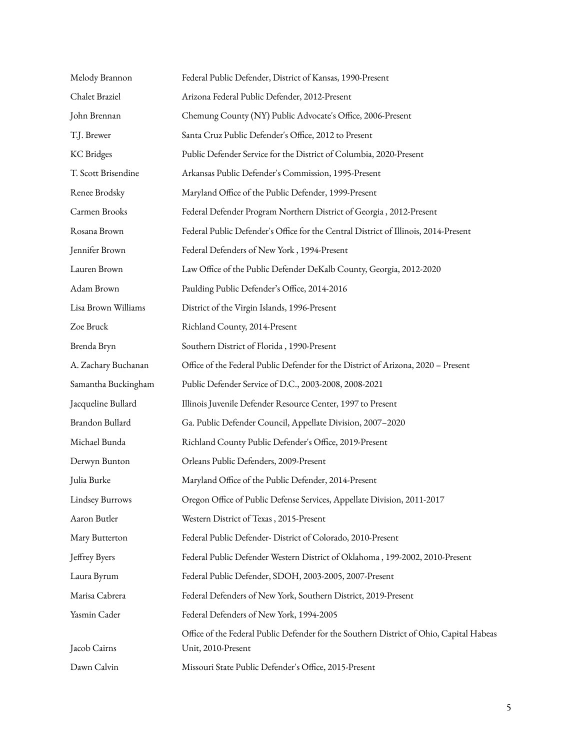| Melody Brannon         | Federal Public Defender, District of Kansas, 1990-Present                                                     |
|------------------------|---------------------------------------------------------------------------------------------------------------|
| Chalet Braziel         | Arizona Federal Public Defender, 2012-Present                                                                 |
| John Brennan           | Chemung County (NY) Public Advocate's Office, 2006-Present                                                    |
| T.J. Brewer            | Santa Cruz Public Defender's Office, 2012 to Present                                                          |
| <b>KC</b> Bridges      | Public Defender Service for the District of Columbia, 2020-Present                                            |
| T. Scott Brisendine    | Arkansas Public Defender's Commission, 1995-Present                                                           |
| Renee Brodsky          | Maryland Office of the Public Defender, 1999-Present                                                          |
| Carmen Brooks          | Federal Defender Program Northern District of Georgia, 2012-Present                                           |
| Rosana Brown           | Federal Public Defender's Office for the Central District of Illinois, 2014-Present                           |
| Jennifer Brown         | Federal Defenders of New York, 1994-Present                                                                   |
| Lauren Brown           | Law Office of the Public Defender DeKalb County, Georgia, 2012-2020                                           |
| Adam Brown             | Paulding Public Defender's Office, 2014-2016                                                                  |
| Lisa Brown Williams    | District of the Virgin Islands, 1996-Present                                                                  |
| Zoe Bruck              | Richland County, 2014-Present                                                                                 |
| Brenda Bryn            | Southern District of Florida, 1990-Present                                                                    |
| A. Zachary Buchanan    | Office of the Federal Public Defender for the District of Arizona, 2020 - Present                             |
| Samantha Buckingham    | Public Defender Service of D.C., 2003-2008, 2008-2021                                                         |
| Jacqueline Bullard     | Illinois Juvenile Defender Resource Center, 1997 to Present                                                   |
| Brandon Bullard        | Ga. Public Defender Council, Appellate Division, 2007-2020                                                    |
| Michael Bunda          | Richland County Public Defender's Office, 2019-Present                                                        |
| Derwyn Bunton          | Orleans Public Defenders, 2009-Present                                                                        |
| Julia Burke            | Maryland Office of the Public Defender, 2014-Present                                                          |
| <b>Lindsey Burrows</b> | Oregon Office of Public Defense Services, Appellate Division, 2011-2017                                       |
| Aaron Butler           | Western District of Texas, 2015-Present                                                                       |
| Mary Butterton         | Federal Public Defender- District of Colorado, 2010-Present                                                   |
| Jeffrey Byers          | Federal Public Defender Western District of Oklahoma, 199-2002, 2010-Present                                  |
| Laura Byrum            | Federal Public Defender, SDOH, 2003-2005, 2007-Present                                                        |
| Marisa Cabrera         | Federal Defenders of New York, Southern District, 2019-Present                                                |
| Yasmin Cader           | Federal Defenders of New York, 1994-2005                                                                      |
| Jacob Cairns           | Office of the Federal Public Defender for the Southern District of Ohio, Capital Habeas<br>Unit, 2010-Present |
| Dawn Calvin            | Missouri State Public Defender's Office, 2015-Present                                                         |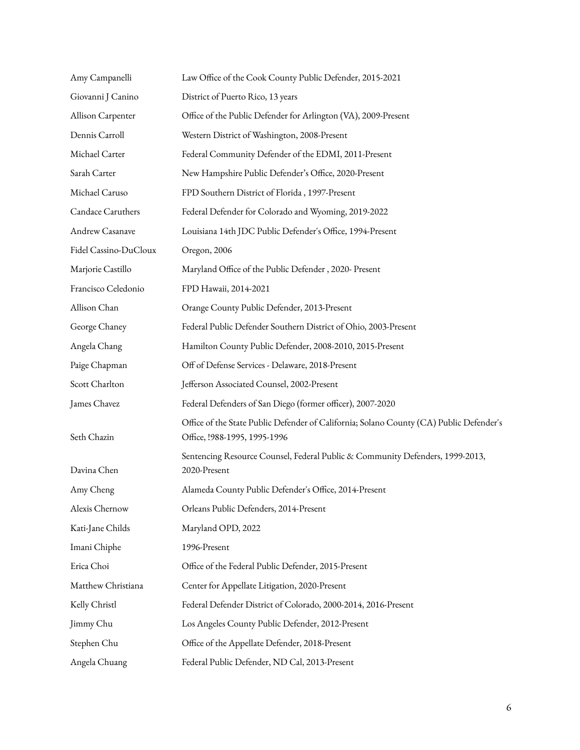| Amy Campanelli        | Law Office of the Cook County Public Defender, 2015-2021                                                                |
|-----------------------|-------------------------------------------------------------------------------------------------------------------------|
| Giovanni J Canino     | District of Puerto Rico, 13 years                                                                                       |
| Allison Carpenter     | Office of the Public Defender for Arlington (VA), 2009-Present                                                          |
| Dennis Carroll        | Western District of Washington, 2008-Present                                                                            |
| Michael Carter        | Federal Community Defender of the EDMI, 2011-Present                                                                    |
| Sarah Carter          | New Hampshire Public Defender's Office, 2020-Present                                                                    |
| Michael Caruso        | FPD Southern District of Florida, 1997-Present                                                                          |
| Candace Caruthers     | Federal Defender for Colorado and Wyoming, 2019-2022                                                                    |
| Andrew Casanave       | Louisiana 14th JDC Public Defender's Office, 1994-Present                                                               |
| Fidel Cassino-DuCloux | Oregon, 2006                                                                                                            |
| Marjorie Castillo     | Maryland Office of the Public Defender, 2020- Present                                                                   |
| Francisco Celedonio   | FPD Hawaii, 2014-2021                                                                                                   |
| Allison Chan          | Orange County Public Defender, 2013-Present                                                                             |
| George Chaney         | Federal Public Defender Southern District of Ohio, 2003-Present                                                         |
| Angela Chang          | Hamilton County Public Defender, 2008-2010, 2015-Present                                                                |
| Paige Chapman         | Off of Defense Services - Delaware, 2018-Present                                                                        |
| Scott Charlton        | Jefferson Associated Counsel, 2002-Present                                                                              |
| James Chavez          | Federal Defenders of San Diego (former officer), 2007-2020                                                              |
| Seth Chazin           | Office of the State Public Defender of California; Solano County (CA) Public Defender's<br>Office, !988-1995, 1995-1996 |
| Davina Chen           | Sentencing Resource Counsel, Federal Public & Community Defenders, 1999-2013,<br>2020-Present                           |
| Amy Cheng             | Alameda County Public Defender's Office, 2014-Present                                                                   |
| Alexis Chernow        | Orleans Public Defenders, 2014-Present                                                                                  |
| Kati-Jane Childs      | Maryland OPD, 2022                                                                                                      |
| Imani Chiphe          | 1996-Present                                                                                                            |
| Erica Choi            | Office of the Federal Public Defender, 2015-Present                                                                     |
| Matthew Christiana    | Center for Appellate Litigation, 2020-Present                                                                           |
| Kelly Christl         | Federal Defender District of Colorado, 2000-2014, 2016-Present                                                          |
| Jimmy Chu             | Los Angeles County Public Defender, 2012-Present                                                                        |
| Stephen Chu           | Office of the Appellate Defender, 2018-Present                                                                          |
| Angela Chuang         | Federal Public Defender, ND Cal, 2013-Present                                                                           |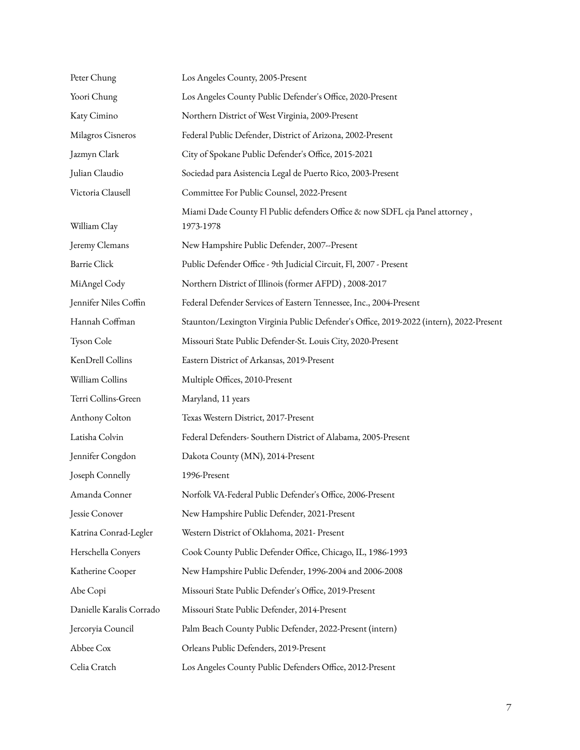| Peter Chung              | Los Angeles County, 2005-Present                                                         |
|--------------------------|------------------------------------------------------------------------------------------|
| Yoori Chung              | Los Angeles County Public Defender's Office, 2020-Present                                |
| Katy Cimino              | Northern District of West Virginia, 2009-Present                                         |
| Milagros Cisneros        | Federal Public Defender, District of Arizona, 2002-Present                               |
| Jazmyn Clark             | City of Spokane Public Defender's Office, 2015-2021                                      |
| Julian Claudio           | Sociedad para Asistencia Legal de Puerto Rico, 2003-Present                              |
| Victoria Clausell        | Committee For Public Counsel, 2022-Present                                               |
| William Clay             | Miami Dade County Fl Public defenders Office & now SDFL cja Panel attorney,<br>1973-1978 |
| Jeremy Clemans           | New Hampshire Public Defender, 2007--Present                                             |
| <b>Barrie Click</b>      | Public Defender Office - 9th Judicial Circuit, Fl, 2007 - Present                        |
| MiAngel Cody             | Northern District of Illinois (former AFPD), 2008-2017                                   |
| Jennifer Niles Coffin    | Federal Defender Services of Eastern Tennessee, Inc., 2004-Present                       |
| Hannah Coffman           | Staunton/Lexington Virginia Public Defender's Office, 2019-2022 (intern), 2022-Present   |
| Tyson Cole               | Missouri State Public Defender-St. Louis City, 2020-Present                              |
| KenDrell Collins         | Eastern District of Arkansas, 2019-Present                                               |
| William Collins          | Multiple Offices, 2010-Present                                                           |
| Terri Collins-Green      | Maryland, 11 years                                                                       |
| Anthony Colton           | Texas Western District, 2017-Present                                                     |
| Latisha Colvin           | Federal Defenders- Southern District of Alabama, 2005-Present                            |
| Jennifer Congdon         | Dakota County (MN), 2014-Present                                                         |
| Joseph Connelly          | 1996-Present                                                                             |
| Amanda Conner            | Norfolk VA-Federal Public Defender's Office, 2006-Present                                |
| Jessie Conover           | New Hampshire Public Defender, 2021-Present                                              |
| Katrina Conrad-Legler    | Western District of Oklahoma, 2021- Present                                              |
| Herschella Conyers       | Cook County Public Defender Office, Chicago, IL, 1986-1993                               |
| Katherine Cooper         | New Hampshire Public Defender, 1996-2004 and 2006-2008                                   |
| Abe Copi                 | Missouri State Public Defender's Office, 2019-Present                                    |
| Danielle Karalis Corrado | Missouri State Public Defender, 2014-Present                                             |
| Jercoryia Council        | Palm Beach County Public Defender, 2022-Present (intern)                                 |
| Abbee Cox                | Orleans Public Defenders, 2019-Present                                                   |
| Celia Cratch             | Los Angeles County Public Defenders Office, 2012-Present                                 |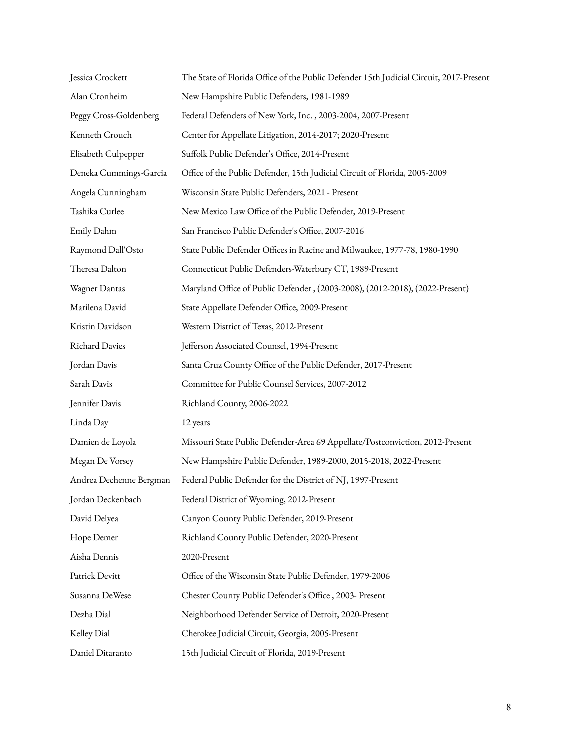| Jessica Crockett        | The State of Florida Office of the Public Defender 15th Judicial Circuit, 2017-Present |
|-------------------------|----------------------------------------------------------------------------------------|
| Alan Cronheim           | New Hampshire Public Defenders, 1981-1989                                              |
| Peggy Cross-Goldenberg  | Federal Defenders of New York, Inc., 2003-2004, 2007-Present                           |
| Kenneth Crouch          | Center for Appellate Litigation, 2014-2017; 2020-Present                               |
| Elisabeth Culpepper     | Suffolk Public Defender's Office, 2014-Present                                         |
| Deneka Cummings-Garcia  | Office of the Public Defender, 15th Judicial Circuit of Florida, 2005-2009             |
| Angela Cunningham       | Wisconsin State Public Defenders, 2021 - Present                                       |
| Tashika Curlee          | New Mexico Law Office of the Public Defender, 2019-Present                             |
| Emily Dahm              | San Francisco Public Defender's Office, 2007-2016                                      |
| Raymond Dall'Osto       | State Public Defender Offices in Racine and Milwaukee, 1977-78, 1980-1990              |
| Theresa Dalton          | Connecticut Public Defenders-Waterbury CT, 1989-Present                                |
| Wagner Dantas           | Maryland Office of Public Defender, (2003-2008), (2012-2018), (2022-Present)           |
| Marilena David          | State Appellate Defender Office, 2009-Present                                          |
| Kristin Davidson        | Western District of Texas, 2012-Present                                                |
| Richard Davies          | Jefferson Associated Counsel, 1994-Present                                             |
| Jordan Davis            | Santa Cruz County Office of the Public Defender, 2017-Present                          |
| Sarah Davis             | Committee for Public Counsel Services, 2007-2012                                       |
| Jennifer Davis          | Richland County, 2006-2022                                                             |
| Linda Day               | 12 years                                                                               |
| Damien de Loyola        | Missouri State Public Defender-Area 69 Appellate/Postconviction, 2012-Present          |
| Megan De Vorsey         | New Hampshire Public Defender, 1989-2000, 2015-2018, 2022-Present                      |
| Andrea Dechenne Bergman | Federal Public Defender for the District of NJ, 1997-Present                           |
| Jordan Deckenbach       | Federal District of Wyoming, 2012-Present                                              |
| David Delyea            | Canyon County Public Defender, 2019-Present                                            |
| Hope Demer              | Richland County Public Defender, 2020-Present                                          |
| Aisha Dennis            | 2020-Present                                                                           |
| Patrick Devitt          | Office of the Wisconsin State Public Defender, 1979-2006                               |
| Susanna DeWese          | Chester County Public Defender's Office, 2003- Present                                 |
| Dezha Dial              | Neighborhood Defender Service of Detroit, 2020-Present                                 |
| Kelley Dial             | Cherokee Judicial Circuit, Georgia, 2005-Present                                       |
| Daniel Ditaranto        | 15th Judicial Circuit of Florida, 2019-Present                                         |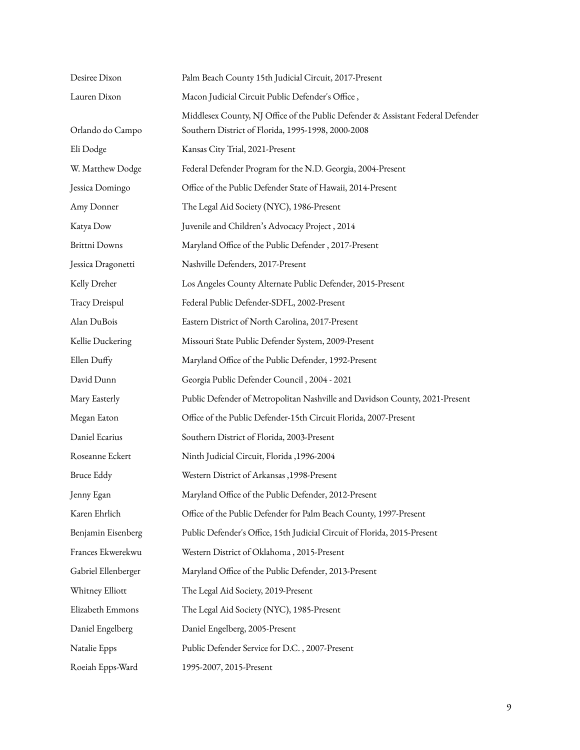| Desiree Dixon        | Palm Beach County 15th Judicial Circuit, 2017-Present                                                                                 |
|----------------------|---------------------------------------------------------------------------------------------------------------------------------------|
| Lauren Dixon         | Macon Judicial Circuit Public Defender's Office,                                                                                      |
| Orlando do Campo     | Middlesex County, NJ Office of the Public Defender & Assistant Federal Defender<br>Southern District of Florida, 1995-1998, 2000-2008 |
| Eli Dodge            | Kansas City Trial, 2021-Present                                                                                                       |
| W. Matthew Dodge     | Federal Defender Program for the N.D. Georgia, 2004-Present                                                                           |
| Jessica Domingo      | Office of the Public Defender State of Hawaii, 2014-Present                                                                           |
| Amy Donner           | The Legal Aid Society (NYC), 1986-Present                                                                                             |
| Katya Dow            | Juvenile and Children's Advocacy Project, 2014                                                                                        |
| <b>Brittni Downs</b> | Maryland Office of the Public Defender, 2017-Present                                                                                  |
| Jessica Dragonetti   | Nashville Defenders, 2017-Present                                                                                                     |
| Kelly Dreher         | Los Angeles County Alternate Public Defender, 2015-Present                                                                            |
| Tracy Dreispul       | Federal Public Defender-SDFL, 2002-Present                                                                                            |
| Alan DuBois          | Eastern District of North Carolina, 2017-Present                                                                                      |
| Kellie Duckering     | Missouri State Public Defender System, 2009-Present                                                                                   |
| Ellen Duffy          | Maryland Office of the Public Defender, 1992-Present                                                                                  |
| David Dunn           | Georgia Public Defender Council, 2004 - 2021                                                                                          |
| Mary Easterly        | Public Defender of Metropolitan Nashville and Davidson County, 2021-Present                                                           |
| Megan Eaton          | Office of the Public Defender-15th Circuit Florida, 2007-Present                                                                      |
| Daniel Ecarius       | Southern District of Florida, 2003-Present                                                                                            |
| Roseanne Eckert      | Ninth Judicial Circuit, Florida , 1996-2004                                                                                           |
| <b>Bruce Eddy</b>    | Western District of Arkansas , 1998-Present                                                                                           |
| Jenny Egan           | Maryland Office of the Public Defender, 2012-Present                                                                                  |
| Karen Ehrlich        | Office of the Public Defender for Palm Beach County, 1997-Present                                                                     |
| Benjamin Eisenberg   | Public Defender's Office, 15th Judicial Circuit of Florida, 2015-Present                                                              |
| Frances Ekwerekwu    | Western District of Oklahoma, 2015-Present                                                                                            |
| Gabriel Ellenberger  | Maryland Office of the Public Defender, 2013-Present                                                                                  |
| Whitney Elliott      | The Legal Aid Society, 2019-Present                                                                                                   |
| Elizabeth Emmons     | The Legal Aid Society (NYC), 1985-Present                                                                                             |
| Daniel Engelberg     | Daniel Engelberg, 2005-Present                                                                                                        |
| Natalie Epps         | Public Defender Service for D.C., 2007-Present                                                                                        |
| Roeiah Epps-Ward     | 1995-2007, 2015-Present                                                                                                               |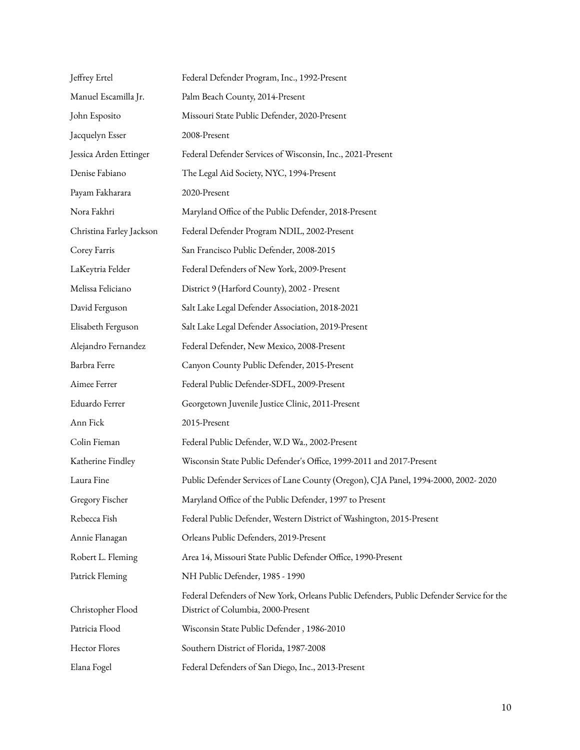| Jeffrey Ertel            | Federal Defender Program, Inc., 1992-Present                                                                                   |
|--------------------------|--------------------------------------------------------------------------------------------------------------------------------|
| Manuel Escamilla Jr.     | Palm Beach County, 2014-Present                                                                                                |
| John Esposito            | Missouri State Public Defender, 2020-Present                                                                                   |
| Jacquelyn Esser          | 2008-Present                                                                                                                   |
| Jessica Arden Ettinger   | Federal Defender Services of Wisconsin, Inc., 2021-Present                                                                     |
| Denise Fabiano           | The Legal Aid Society, NYC, 1994-Present                                                                                       |
| Payam Fakharara          | 2020-Present                                                                                                                   |
| Nora Fakhri              | Maryland Office of the Public Defender, 2018-Present                                                                           |
| Christina Farley Jackson | Federal Defender Program NDIL, 2002-Present                                                                                    |
| Corey Farris             | San Francisco Public Defender, 2008-2015                                                                                       |
| LaKeytria Felder         | Federal Defenders of New York, 2009-Present                                                                                    |
| Melissa Feliciano        | District 9 (Harford County), 2002 - Present                                                                                    |
| David Ferguson           | Salt Lake Legal Defender Association, 2018-2021                                                                                |
| Elisabeth Ferguson       | Salt Lake Legal Defender Association, 2019-Present                                                                             |
| Alejandro Fernandez      | Federal Defender, New Mexico, 2008-Present                                                                                     |
| Barbra Ferre             | Canyon County Public Defender, 2015-Present                                                                                    |
| Aimee Ferrer             | Federal Public Defender-SDFL, 2009-Present                                                                                     |
| Eduardo Ferrer           | Georgetown Juvenile Justice Clinic, 2011-Present                                                                               |
| Ann Fick                 | 2015-Present                                                                                                                   |
| Colin Fieman             | Federal Public Defender, W.D Wa., 2002-Present                                                                                 |
| Katherine Findley        | Wisconsin State Public Defender's Office, 1999-2011 and 2017-Present                                                           |
| Laura Fine               | Public Defender Services of Lane County (Oregon), CJA Panel, 1994-2000, 2002-2020                                              |
| Gregory Fischer          | Maryland Office of the Public Defender, 1997 to Present                                                                        |
| Rebecca Fish             | Federal Public Defender, Western District of Washington, 2015-Present                                                          |
| Annie Flanagan           | Orleans Public Defenders, 2019-Present                                                                                         |
| Robert L. Fleming        | Area 14, Missouri State Public Defender Office, 1990-Present                                                                   |
| Patrick Fleming          | NH Public Defender, 1985 - 1990                                                                                                |
| Christopher Flood        | Federal Defenders of New York, Orleans Public Defenders, Public Defender Service for the<br>District of Columbia, 2000-Present |
| Patricia Flood           | Wisconsin State Public Defender, 1986-2010                                                                                     |
| Hector Flores            | Southern District of Florida, 1987-2008                                                                                        |
| Elana Fogel              | Federal Defenders of San Diego, Inc., 2013-Present                                                                             |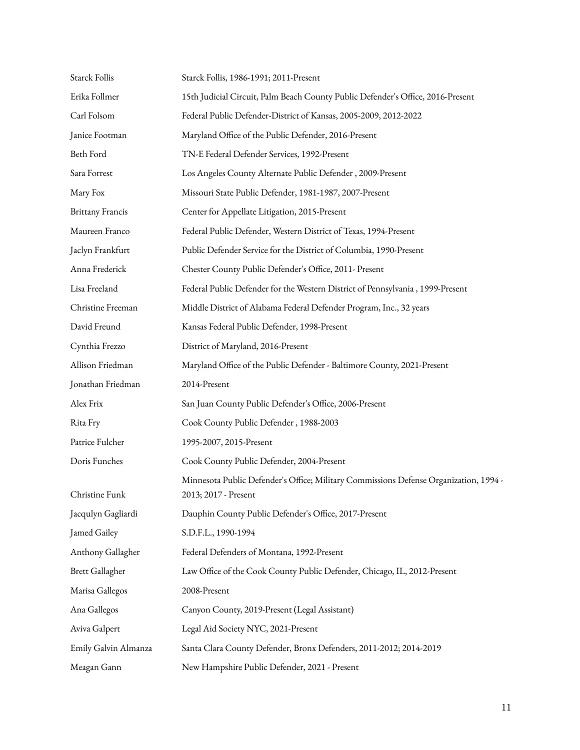| Starck Follis           | Starck Follis, 1986-1991; 2011-Present                                                                        |
|-------------------------|---------------------------------------------------------------------------------------------------------------|
| Erika Follmer           | 15th Judicial Circuit, Palm Beach County Public Defender's Office, 2016-Present                               |
| Carl Folsom             | Federal Public Defender-District of Kansas, 2005-2009, 2012-2022                                              |
| Janice Footman          | Maryland Office of the Public Defender, 2016-Present                                                          |
| Beth Ford               | TN-E Federal Defender Services, 1992-Present                                                                  |
| Sara Forrest            | Los Angeles County Alternate Public Defender, 2009-Present                                                    |
| Mary Fox                | Missouri State Public Defender, 1981-1987, 2007-Present                                                       |
| <b>Brittany Francis</b> | Center for Appellate Litigation, 2015-Present                                                                 |
| Maureen Franco          | Federal Public Defender, Western District of Texas, 1994-Present                                              |
| Jaclyn Frankfurt        | Public Defender Service for the District of Columbia, 1990-Present                                            |
| Anna Frederick          | Chester County Public Defender's Office, 2011- Present                                                        |
| Lisa Freeland           | Federal Public Defender for the Western District of Pennsylvania, 1999-Present                                |
| Christine Freeman       | Middle District of Alabama Federal Defender Program, Inc., 32 years                                           |
| David Freund            | Kansas Federal Public Defender, 1998-Present                                                                  |
| Cynthia Frezzo          | District of Maryland, 2016-Present                                                                            |
| Allison Friedman        | Maryland Office of the Public Defender - Baltimore County, 2021-Present                                       |
| Jonathan Friedman       | 2014-Present                                                                                                  |
| Alex Frix               | San Juan County Public Defender's Office, 2006-Present                                                        |
| Rita Fry                | Cook County Public Defender, 1988-2003                                                                        |
| Patrice Fulcher         | 1995-2007, 2015-Present                                                                                       |
| Doris Funches           | Cook County Public Defender, 2004-Present                                                                     |
| Christine Funk          | Minnesota Public Defender's Office; Military Commissions Defense Organization, 1994 -<br>2013; 2017 - Present |
| Jacqulyn Gagliardi      | Dauphin County Public Defender's Office, 2017-Present                                                         |
| Jamed Gailey            | S.D.F.L., 1990-1994                                                                                           |
| Anthony Gallagher       | Federal Defenders of Montana, 1992-Present                                                                    |
| <b>Brett Gallagher</b>  | Law Office of the Cook County Public Defender, Chicago, IL, 2012-Present                                      |
| Marisa Gallegos         | 2008-Present                                                                                                  |
| Ana Gallegos            | Canyon County, 2019-Present (Legal Assistant)                                                                 |
| Aviva Galpert           | Legal Aid Society NYC, 2021-Present                                                                           |
| Emily Galvin Almanza    | Santa Clara County Defender, Bronx Defenders, 2011-2012; 2014-2019                                            |
| Meagan Gann             | New Hampshire Public Defender, 2021 - Present                                                                 |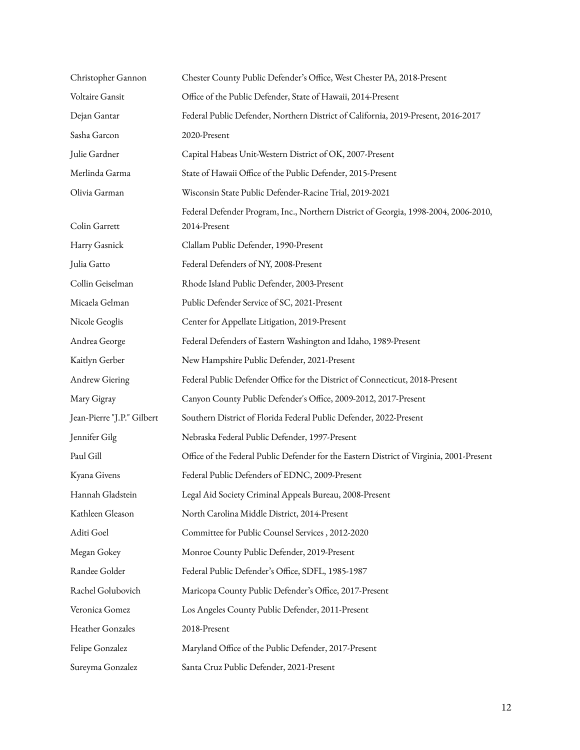| Christopher Gannon         | Chester County Public Defender's Office, West Chester PA, 2018-Present                              |
|----------------------------|-----------------------------------------------------------------------------------------------------|
| Voltaire Gansit            | Office of the Public Defender, State of Hawaii, 2014-Present                                        |
| Dejan Gantar               | Federal Public Defender, Northern District of California, 2019-Present, 2016-2017                   |
| Sasha Garcon               | 2020-Present                                                                                        |
| Julie Gardner              | Capital Habeas Unit-Western District of OK, 2007-Present                                            |
| Merlinda Garma             | State of Hawaii Office of the Public Defender, 2015-Present                                         |
| Olivia Garman              | Wisconsin State Public Defender-Racine Trial, 2019-2021                                             |
| Colin Garrett              | Federal Defender Program, Inc., Northern District of Georgia, 1998-2004, 2006-2010,<br>2014-Present |
| Harry Gasnick              | Clallam Public Defender, 1990-Present                                                               |
| Julia Gatto                | Federal Defenders of NY, 2008-Present                                                               |
| Collin Geiselman           | Rhode Island Public Defender, 2003-Present                                                          |
| Micaela Gelman             | Public Defender Service of SC, 2021-Present                                                         |
| Nicole Geoglis             | Center for Appellate Litigation, 2019-Present                                                       |
| Andrea George              | Federal Defenders of Eastern Washington and Idaho, 1989-Present                                     |
| Kaitlyn Gerber             | New Hampshire Public Defender, 2021-Present                                                         |
| Andrew Giering             | Federal Public Defender Office for the District of Connecticut, 2018-Present                        |
| Mary Gigray                | Canyon County Public Defender's Office, 2009-2012, 2017-Present                                     |
| Jean-Pierre "J.P." Gilbert | Southern District of Florida Federal Public Defender, 2022-Present                                  |
| Jennifer Gilg              | Nebraska Federal Public Defender, 1997-Present                                                      |
| Paul Gill                  | Office of the Federal Public Defender for the Eastern District of Virginia, 2001-Present            |
| Kyana Givens               | Federal Public Defenders of EDNC, 2009-Present                                                      |
| Hannah Gladstein           | Legal Aid Society Criminal Appeals Bureau, 2008-Present                                             |
| Kathleen Gleason           | North Carolina Middle District, 2014-Present                                                        |
| Aditi Goel                 | Committee for Public Counsel Services, 2012-2020                                                    |
| Megan Gokey                | Monroe County Public Defender, 2019-Present                                                         |
| Randee Golder              | Federal Public Defender's Office, SDFL, 1985-1987                                                   |
| Rachel Golubovich          | Maricopa County Public Defender's Office, 2017-Present                                              |
| Veronica Gomez             | Los Angeles County Public Defender, 2011-Present                                                    |
| Heather Gonzales           | 2018-Present                                                                                        |
| Felipe Gonzalez            | Maryland Office of the Public Defender, 2017-Present                                                |
| Sureyma Gonzalez           | Santa Cruz Public Defender, 2021-Present                                                            |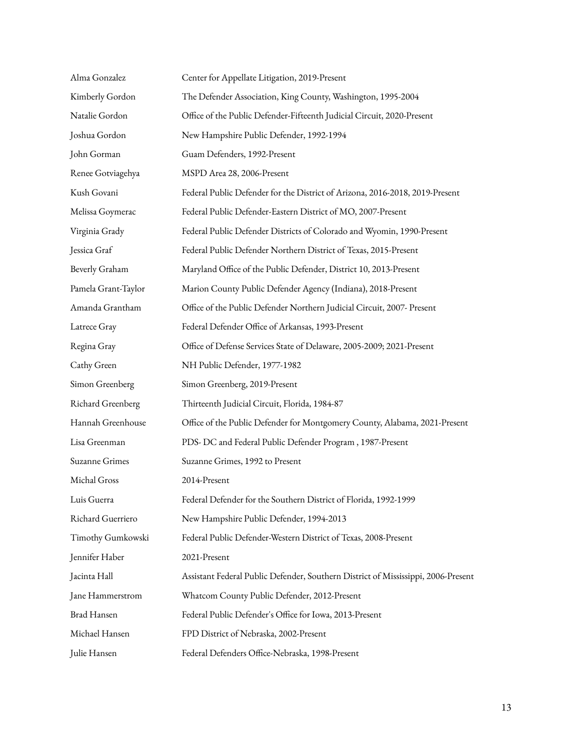| Alma Gonzalez       | Center for Appellate Litigation, 2019-Present                                     |
|---------------------|-----------------------------------------------------------------------------------|
| Kimberly Gordon     | The Defender Association, King County, Washington, 1995-2004                      |
| Natalie Gordon      | Office of the Public Defender-Fifteenth Judicial Circuit, 2020-Present            |
| Joshua Gordon       | New Hampshire Public Defender, 1992-1994                                          |
| John Gorman         | Guam Defenders, 1992-Present                                                      |
| Renee Gotviagehya   | MSPD Area 28, 2006-Present                                                        |
| Kush Govani         | Federal Public Defender for the District of Arizona, 2016-2018, 2019-Present      |
| Melissa Goymerac    | Federal Public Defender-Eastern District of MO, 2007-Present                      |
| Virginia Grady      | Federal Public Defender Districts of Colorado and Wyomin, 1990-Present            |
| Jessica Graf        | Federal Public Defender Northern District of Texas, 2015-Present                  |
| Beverly Graham      | Maryland Office of the Public Defender, District 10, 2013-Present                 |
| Pamela Grant-Taylor | Marion County Public Defender Agency (Indiana), 2018-Present                      |
| Amanda Grantham     | Office of the Public Defender Northern Judicial Circuit, 2007- Present            |
| Latrece Gray        | Federal Defender Office of Arkansas, 1993-Present                                 |
| Regina Gray         | Office of Defense Services State of Delaware, 2005-2009; 2021-Present             |
| Cathy Green         | NH Public Defender, 1977-1982                                                     |
| Simon Greenberg     | Simon Greenberg, 2019-Present                                                     |
| Richard Greenberg   | Thirteenth Judicial Circuit, Florida, 1984-87                                     |
| Hannah Greenhouse   | Office of the Public Defender for Montgomery County, Alabama, 2021-Present        |
| Lisa Greenman       | PDS- DC and Federal Public Defender Program, 1987-Present                         |
| Suzanne Grimes      | Suzanne Grimes, 1992 to Present                                                   |
| Michal Gross        | 2014-Present                                                                      |
| Luis Guerra         | Federal Defender for the Southern District of Florida, 1992-1999                  |
| Richard Guerriero   | New Hampshire Public Defender, 1994-2013                                          |
| Timothy Gumkowski   | Federal Public Defender-Western District of Texas, 2008-Present                   |
| Jennifer Haber      | 2021-Present                                                                      |
| Jacinta Hall        | Assistant Federal Public Defender, Southern District of Mississippi, 2006-Present |
| Jane Hammerstrom    | Whatcom County Public Defender, 2012-Present                                      |
| Brad Hansen         | Federal Public Defender's Office for Iowa, 2013-Present                           |
| Michael Hansen      | FPD District of Nebraska, 2002-Present                                            |
| Julie Hansen        | Federal Defenders Office-Nebraska, 1998-Present                                   |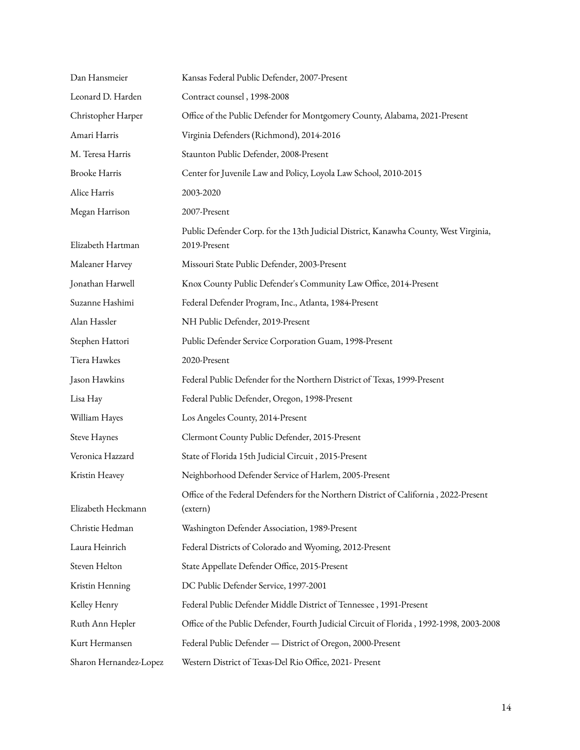| Dan Hansmeier          | Kansas Federal Public Defender, 2007-Present                                                         |
|------------------------|------------------------------------------------------------------------------------------------------|
| Leonard D. Harden      | Contract counsel, 1998-2008                                                                          |
| Christopher Harper     | Office of the Public Defender for Montgomery County, Alabama, 2021-Present                           |
| Amari Harris           | Virginia Defenders (Richmond), 2014-2016                                                             |
| M. Teresa Harris       | Staunton Public Defender, 2008-Present                                                               |
| <b>Brooke Harris</b>   | Center for Juvenile Law and Policy, Loyola Law School, 2010-2015                                     |
| Alice Harris           | 2003-2020                                                                                            |
| Megan Harrison         | 2007-Present                                                                                         |
| Elizabeth Hartman      | Public Defender Corp. for the 13th Judicial District, Kanawha County, West Virginia,<br>2019-Present |
| Maleaner Harvey        | Missouri State Public Defender, 2003-Present                                                         |
| Jonathan Harwell       | Knox County Public Defender's Community Law Office, 2014-Present                                     |
| Suzanne Hashimi        | Federal Defender Program, Inc., Atlanta, 1984-Present                                                |
| Alan Hassler           | NH Public Defender, 2019-Present                                                                     |
| Stephen Hattori        | Public Defender Service Corporation Guam, 1998-Present                                               |
| Tiera Hawkes           | 2020-Present                                                                                         |
| Jason Hawkins          | Federal Public Defender for the Northern District of Texas, 1999-Present                             |
| Lisa Hay               | Federal Public Defender, Oregon, 1998-Present                                                        |
| William Hayes          | Los Angeles County, 2014-Present                                                                     |
| <b>Steve Haynes</b>    | Clermont County Public Defender, 2015-Present                                                        |
| Veronica Hazzard       | State of Florida 15th Judicial Circuit, 2015-Present                                                 |
| Kristin Heavey         | Neighborhood Defender Service of Harlem, 2005-Present                                                |
| Elizabeth Heckmann     | Office of the Federal Defenders for the Northern District of California, 2022-Present<br>(extern)    |
| Christie Hedman        | Washington Defender Association, 1989-Present                                                        |
| Laura Heinrich         | Federal Districts of Colorado and Wyoming, 2012-Present                                              |
| Steven Helton          | State Appellate Defender Office, 2015-Present                                                        |
| Kristin Henning        | DC Public Defender Service, 1997-2001                                                                |
| Kelley Henry           | Federal Public Defender Middle District of Tennessee, 1991-Present                                   |
| Ruth Ann Hepler        | Office of the Public Defender, Fourth Judicial Circuit of Florida, 1992-1998, 2003-2008              |
| Kurt Hermansen         | Federal Public Defender - District of Oregon, 2000-Present                                           |
| Sharon Hernandez-Lopez | Western District of Texas-Del Rio Office, 2021- Present                                              |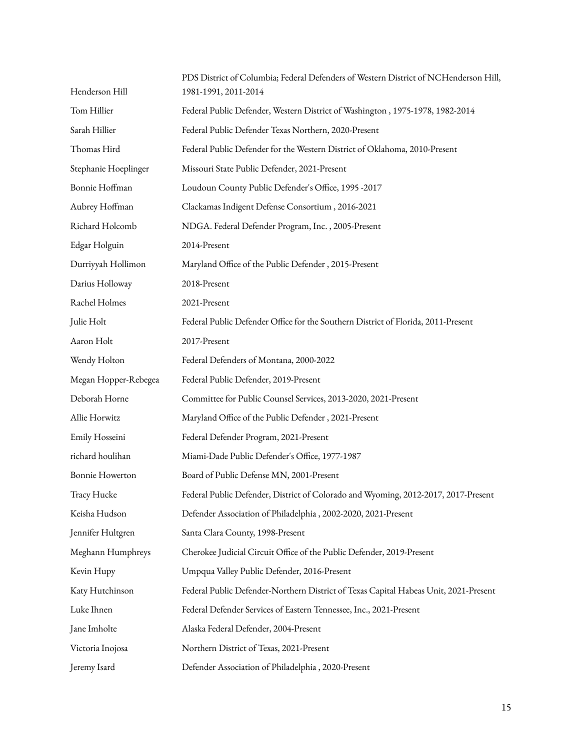| Henderson Hill       | PDS District of Columbia; Federal Defenders of Western District of NCHenderson Hill,<br>1981-1991, 2011-2014 |
|----------------------|--------------------------------------------------------------------------------------------------------------|
| Tom Hillier          | Federal Public Defender, Western District of Washington, 1975-1978, 1982-2014                                |
| Sarah Hillier        | Federal Public Defender Texas Northern, 2020-Present                                                         |
| Thomas Hird          | Federal Public Defender for the Western District of Oklahoma, 2010-Present                                   |
| Stephanie Hoeplinger | Missouri State Public Defender, 2021-Present                                                                 |
| Bonnie Hoffman       | Loudoun County Public Defender's Office, 1995 -2017                                                          |
| Aubrey Hoffman       | Clackamas Indigent Defense Consortium, 2016-2021                                                             |
| Richard Holcomb      | NDGA. Federal Defender Program, Inc., 2005-Present                                                           |
| Edgar Holguin        | 2014-Present                                                                                                 |
| Durriyyah Hollimon   | Maryland Office of the Public Defender, 2015-Present                                                         |
| Darius Holloway      | 2018-Present                                                                                                 |
| Rachel Holmes        | 2021-Present                                                                                                 |
| Julie Holt           | Federal Public Defender Office for the Southern District of Florida, 2011-Present                            |
| Aaron Holt           | 2017-Present                                                                                                 |
| Wendy Holton         | Federal Defenders of Montana, 2000-2022                                                                      |
| Megan Hopper-Rebegea | Federal Public Defender, 2019-Present                                                                        |
| Deborah Horne        | Committee for Public Counsel Services, 2013-2020, 2021-Present                                               |
| Allie Horwitz        | Maryland Office of the Public Defender, 2021-Present                                                         |
| Emily Hosseini       | Federal Defender Program, 2021-Present                                                                       |
| richard houlihan     | Miami-Dade Public Defender's Office, 1977-1987                                                               |
| Bonnie Howerton      | Board of Public Defense MN, 2001-Present                                                                     |
| Tracy Hucke          | Federal Public Defender, District of Colorado and Wyoming, 2012-2017, 2017-Present                           |
| Keisha Hudson        | Defender Association of Philadelphia, 2002-2020, 2021-Present                                                |
| Jennifer Hultgren    | Santa Clara County, 1998-Present                                                                             |
| Meghann Humphreys    | Cherokee Judicial Circuit Office of the Public Defender, 2019-Present                                        |
| Kevin Hupy           | Umpqua Valley Public Defender, 2016-Present                                                                  |
| Katy Hutchinson      | Federal Public Defender-Northern District of Texas Capital Habeas Unit, 2021-Present                         |
| Luke Ihnen           | Federal Defender Services of Eastern Tennessee, Inc., 2021-Present                                           |
| Jane Imholte         | Alaska Federal Defender, 2004-Present                                                                        |
| Victoria Inojosa     | Northern District of Texas, 2021-Present                                                                     |
| Jeremy Isard         | Defender Association of Philadelphia, 2020-Present                                                           |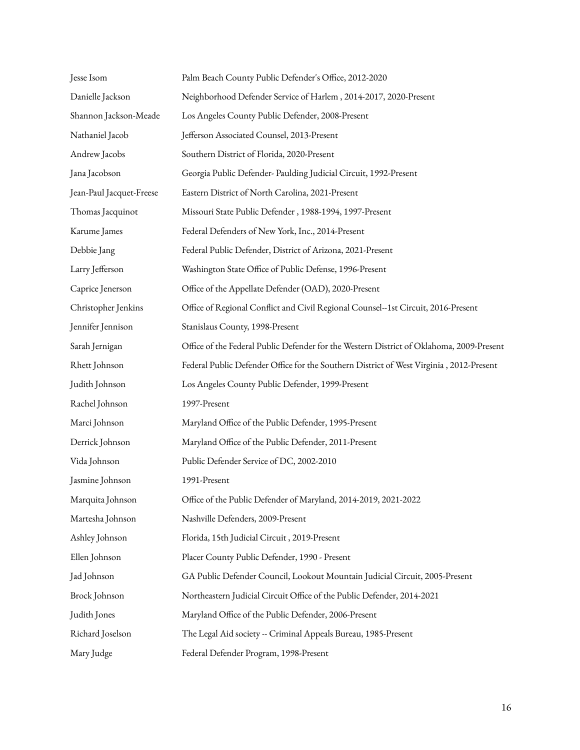| Jesse Isom               | Palm Beach County Public Defender's Office, 2012-2020                                    |
|--------------------------|------------------------------------------------------------------------------------------|
| Danielle Jackson         | Neighborhood Defender Service of Harlem, 2014-2017, 2020-Present                         |
| Shannon Jackson-Meade    | Los Angeles County Public Defender, 2008-Present                                         |
| Nathaniel Jacob          | Jefferson Associated Counsel, 2013-Present                                               |
| Andrew Jacobs            | Southern District of Florida, 2020-Present                                               |
| Jana Jacobson            | Georgia Public Defender- Paulding Judicial Circuit, 1992-Present                         |
| Jean-Paul Jacquet-Freese | Eastern District of North Carolina, 2021-Present                                         |
| Thomas Jacquinot         | Missouri State Public Defender, 1988-1994, 1997-Present                                  |
| Karume James             | Federal Defenders of New York, Inc., 2014-Present                                        |
| Debbie Jang              | Federal Public Defender, District of Arizona, 2021-Present                               |
| Larry Jefferson          | Washington State Office of Public Defense, 1996-Present                                  |
| Caprice Jenerson         | Office of the Appellate Defender (OAD), 2020-Present                                     |
| Christopher Jenkins      | Office of Regional Conflict and Civil Regional Counsel--1st Circuit, 2016-Present        |
| Jennifer Jennison        | Stanislaus County, 1998-Present                                                          |
| Sarah Jernigan           | Office of the Federal Public Defender for the Western District of Oklahoma, 2009-Present |
| Rhett Johnson            | Federal Public Defender Office for the Southern District of West Virginia, 2012-Present  |
| Judith Johnson           | Los Angeles County Public Defender, 1999-Present                                         |
| Rachel Johnson           | 1997-Present                                                                             |
| Marci Johnson            | Maryland Office of the Public Defender, 1995-Present                                     |
| Derrick Johnson          | Maryland Office of the Public Defender, 2011-Present                                     |
| Vida Johnson             | Public Defender Service of DC, 2002-2010                                                 |
| Jasmine Johnson          | 1991-Present                                                                             |
| Marquita Johnson         | Office of the Public Defender of Maryland, 2014-2019, 2021-2022                          |
| Martesha Johnson         | Nashville Defenders, 2009-Present                                                        |
| Ashley Johnson           | Florida, 15th Judicial Circuit, 2019-Present                                             |
| Ellen Johnson            | Placer County Public Defender, 1990 - Present                                            |
| Jad Johnson              | GA Public Defender Council, Lookout Mountain Judicial Circuit, 2005-Present              |
| Brock Johnson            | Northeastern Judicial Circuit Office of the Public Defender, 2014-2021                   |
| Judith Jones             | Maryland Office of the Public Defender, 2006-Present                                     |
| Richard Joselson         | The Legal Aid society -- Criminal Appeals Bureau, 1985-Present                           |
| Mary Judge               | Federal Defender Program, 1998-Present                                                   |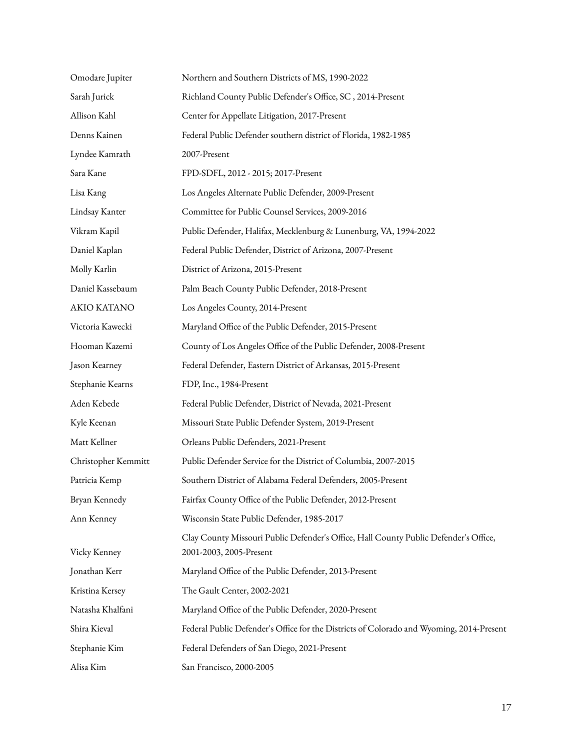| Omodare Jupiter     | Northern and Southern Districts of MS, 1990-2022                                                                |
|---------------------|-----------------------------------------------------------------------------------------------------------------|
| Sarah Jurick        | Richland County Public Defender's Office, SC, 2014-Present                                                      |
| Allison Kahl        | Center for Appellate Litigation, 2017-Present                                                                   |
| Denns Kainen        | Federal Public Defender southern district of Florida, 1982-1985                                                 |
| Lyndee Kamrath      | 2007-Present                                                                                                    |
| Sara Kane           | FPD-SDFL, 2012 - 2015; 2017-Present                                                                             |
| Lisa Kang           | Los Angeles Alternate Public Defender, 2009-Present                                                             |
| Lindsay Kanter      | Committee for Public Counsel Services, 2009-2016                                                                |
| Vikram Kapil        | Public Defender, Halifax, Mecklenburg & Lunenburg, VA, 1994-2022                                                |
| Daniel Kaplan       | Federal Public Defender, District of Arizona, 2007-Present                                                      |
| Molly Karlin        | District of Arizona, 2015-Present                                                                               |
| Daniel Kassebaum    | Palm Beach County Public Defender, 2018-Present                                                                 |
| AKIO KATANO         | Los Angeles County, 2014-Present                                                                                |
| Victoria Kawecki    | Maryland Office of the Public Defender, 2015-Present                                                            |
| Hooman Kazemi       | County of Los Angeles Office of the Public Defender, 2008-Present                                               |
| Jason Kearney       | Federal Defender, Eastern District of Arkansas, 2015-Present                                                    |
| Stephanie Kearns    | FDP, Inc., 1984-Present                                                                                         |
| Aden Kebede         | Federal Public Defender, District of Nevada, 2021-Present                                                       |
| Kyle Keenan         | Missouri State Public Defender System, 2019-Present                                                             |
| Matt Kellner        | Orleans Public Defenders, 2021-Present                                                                          |
| Christopher Kemmitt | Public Defender Service for the District of Columbia, 2007-2015                                                 |
| Patricia Kemp       | Southern District of Alabama Federal Defenders, 2005-Present                                                    |
| Bryan Kennedy       | Fairfax County Office of the Public Defender, 2012-Present                                                      |
| Ann Kenney          | Wisconsin State Public Defender, 1985-2017                                                                      |
| Vicky Kenney        | Clay County Missouri Public Defender's Office, Hall County Public Defender's Office,<br>2001-2003, 2005-Present |
| Jonathan Kerr       | Maryland Office of the Public Defender, 2013-Present                                                            |
| Kristina Kersey     | The Gault Center, 2002-2021                                                                                     |
| Natasha Khalfani    | Maryland Office of the Public Defender, 2020-Present                                                            |
| Shira Kieval        | Federal Public Defender's Office for the Districts of Colorado and Wyoming, 2014-Present                        |
| Stephanie Kim       | Federal Defenders of San Diego, 2021-Present                                                                    |
| Alisa Kim           | San Francisco, 2000-2005                                                                                        |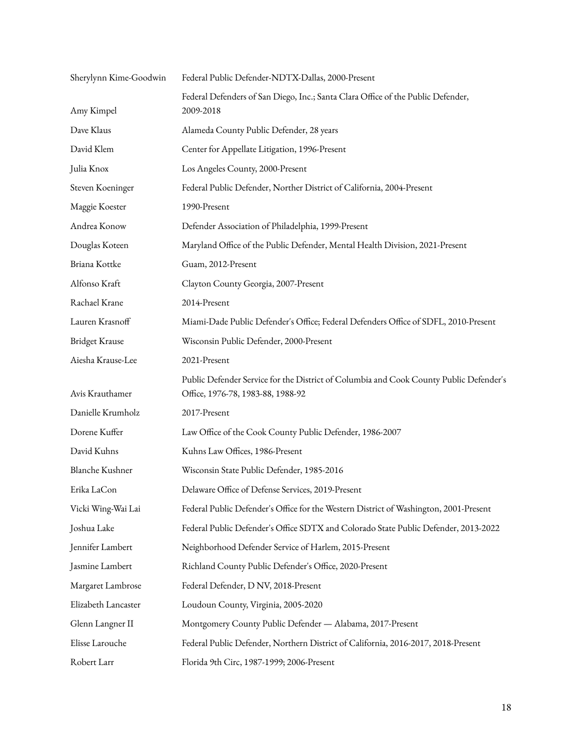| Federal Public Defender-NDTX-Dallas, 2000-Present                                                                           |
|-----------------------------------------------------------------------------------------------------------------------------|
| Federal Defenders of San Diego, Inc.; Santa Clara Office of the Public Defender,<br>2009-2018                               |
| Alameda County Public Defender, 28 years                                                                                    |
| Center for Appellate Litigation, 1996-Present                                                                               |
| Los Angeles County, 2000-Present                                                                                            |
| Federal Public Defender, Norther District of California, 2004-Present                                                       |
| 1990-Present                                                                                                                |
| Defender Association of Philadelphia, 1999-Present                                                                          |
| Maryland Office of the Public Defender, Mental Health Division, 2021-Present                                                |
| Guam, 2012-Present                                                                                                          |
| Clayton County Georgia, 2007-Present                                                                                        |
| 2014-Present                                                                                                                |
| Miami-Dade Public Defender's Office; Federal Defenders Office of SDFL, 2010-Present                                         |
| Wisconsin Public Defender, 2000-Present                                                                                     |
| 2021-Present                                                                                                                |
| Public Defender Service for the District of Columbia and Cook County Public Defender's<br>Office, 1976-78, 1983-88, 1988-92 |
| 2017-Present                                                                                                                |
| Law Office of the Cook County Public Defender, 1986-2007                                                                    |
| Kuhns Law Offices, 1986-Present                                                                                             |
| Wisconsin State Public Defender, 1985-2016                                                                                  |
| Delaware Office of Defense Services, 2019-Present                                                                           |
| Federal Public Defender's Office for the Western District of Washington, 2001-Present                                       |
| Federal Public Defender's Office SDTX and Colorado State Public Defender, 2013-2022                                         |
| Neighborhood Defender Service of Harlem, 2015-Present                                                                       |
| Richland County Public Defender's Office, 2020-Present                                                                      |
| Federal Defender, D NV, 2018-Present                                                                                        |
| Loudoun County, Virginia, 2005-2020                                                                                         |
| Montgomery County Public Defender - Alabama, 2017-Present                                                                   |
| Federal Public Defender, Northern District of California, 2016-2017, 2018-Present                                           |
| Florida 9th Circ, 1987-1999; 2006-Present                                                                                   |
|                                                                                                                             |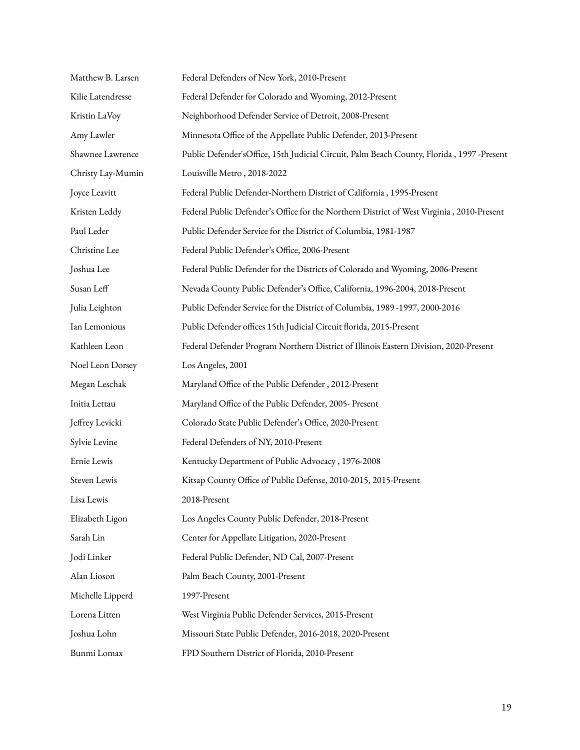| Matthew B. Larsen | Federal Defenders of New York, 2010-Present                                               |
|-------------------|-------------------------------------------------------------------------------------------|
| Kilie Latendresse | Federal Defender for Colorado and Wyoming, 2012-Present                                   |
| Kristin LaVoy     | Neighborhood Defender Service of Detroit, 2008-Present                                    |
| Amy Lawler        | Minnesota Office of the Appellate Public Defender, 2013-Present                           |
| Shawnee Lawrence  | Public Defender'sOffice, 15th Judicial Circuit, Palm Beach County, Florida, 1997 -Present |
| Christy Lay-Mumin | Louisville Metro, 2018-2022                                                               |
| Joyce Leavitt     | Federal Public Defender-Northern District of California, 1995-Present                     |
| Kristen Leddy     | Federal Public Defender's Office for the Northern District of West Virginia, 2010-Present |
| Paul Leder        | Public Defender Service for the District of Columbia, 1981-1987                           |
| Christine Lee     | Federal Public Defender's Office, 2006-Present                                            |
| Joshua Lee        | Federal Public Defender for the Districts of Colorado and Wyoming, 2006-Present           |
| Susan Leff        | Nevada County Public Defender's Office, California, 1996-2004, 2018-Present               |
| Julia Leighton    | Public Defender Service for the District of Columbia, 1989-1997, 2000-2016                |
| Ian Lemonious     | Public Defender offices 15th Judicial Circuit florida, 2015-Present                       |
| Kathleen Leon     | Federal Defender Program Northern District of Illinois Eastern Division, 2020-Present     |
| Noel Leon Dorsey  | Los Angeles, 2001                                                                         |
| Megan Leschak     | Maryland Office of the Public Defender, 2012-Present                                      |
| Initia Lettau     | Maryland Office of the Public Defender, 2005- Present                                     |
| Jeffrey Levicki   | Colorado State Public Defender's Office, 2020-Present                                     |
| Sylvie Levine     | Federal Defenders of NY, 2010-Present                                                     |
| Ernie Lewis       | Kentucky Department of Public Advocacy, 1976-2008                                         |
| Steven Lewis      | Kitsap County Office of Public Defense, 2010-2015, 2015-Present                           |
| Lisa Lewis        | 2018-Present                                                                              |
| Elizabeth Ligon   | Los Angeles County Public Defender, 2018-Present                                          |
| Sarah Lin         | Center for Appellate Litigation, 2020-Present                                             |
| Jodi Linker       | Federal Public Defender, ND Cal, 2007-Present                                             |
| Alan Lioson       | Palm Beach County, 2001-Present                                                           |
| Michelle Lipperd  | 1997-Present                                                                              |
| Lorena Litten     | West Virginia Public Defender Services, 2015-Present                                      |
| Joshua Lohn       | Missouri State Public Defender, 2016-2018, 2020-Present                                   |
| Bunmi Lomax       | FPD Southern District of Florida, 2010-Present                                            |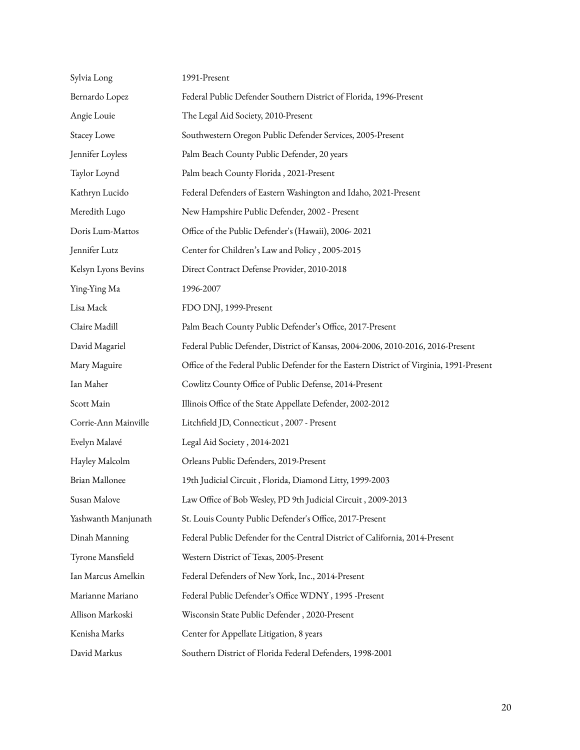| Sylvia Long          | 1991-Present                                                                             |
|----------------------|------------------------------------------------------------------------------------------|
| Bernardo Lopez       | Federal Public Defender Southern District of Florida, 1996-Present                       |
| Angie Louie          | The Legal Aid Society, 2010-Present                                                      |
| <b>Stacey Lowe</b>   | Southwestern Oregon Public Defender Services, 2005-Present                               |
| Jennifer Loyless     | Palm Beach County Public Defender, 20 years                                              |
| Taylor Loynd         | Palm beach County Florida, 2021-Present                                                  |
| Kathryn Lucido       | Federal Defenders of Eastern Washington and Idaho, 2021-Present                          |
| Meredith Lugo        | New Hampshire Public Defender, 2002 - Present                                            |
| Doris Lum-Mattos     | Office of the Public Defender's (Hawaii), 2006-2021                                      |
| Jennifer Lutz        | Center for Children's Law and Policy, 2005-2015                                          |
| Kelsyn Lyons Bevins  | Direct Contract Defense Provider, 2010-2018                                              |
| Ying-Ying Ma         | 1996-2007                                                                                |
| Lisa Mack            | FDO DNJ, 1999-Present                                                                    |
| Claire Madill        | Palm Beach County Public Defender's Office, 2017-Present                                 |
| David Magariel       | Federal Public Defender, District of Kansas, 2004-2006, 2010-2016, 2016-Present          |
| Mary Maguire         | Office of the Federal Public Defender for the Eastern District of Virginia, 1991-Present |
| Ian Maher            | Cowlitz County Office of Public Defense, 2014-Present                                    |
| Scott Main           | Illinois Office of the State Appellate Defender, 2002-2012                               |
| Corrie-Ann Mainville | Litchfield JD, Connecticut, 2007 - Present                                               |
| Evelyn Malavé        | Legal Aid Society, 2014-2021                                                             |
| Hayley Malcolm       | Orleans Public Defenders, 2019-Present                                                   |
| Brian Mallonee       | 19th Judicial Circuit, Florida, Diamond Litty, 1999-2003                                 |
| Susan Malove         | Law Office of Bob Wesley, PD 9th Judicial Circuit, 2009-2013                             |
| Yashwanth Manjunath  | St. Louis County Public Defender's Office, 2017-Present                                  |
| Dinah Manning        | Federal Public Defender for the Central District of California, 2014-Present             |
| Tyrone Mansfield     | Western District of Texas, 2005-Present                                                  |
| Ian Marcus Amelkin   | Federal Defenders of New York, Inc., 2014-Present                                        |
| Marianne Mariano     | Federal Public Defender's Office WDNY, 1995 -Present                                     |
| Allison Markoski     | Wisconsin State Public Defender, 2020-Present                                            |
| Kenisha Marks        | Center for Appellate Litigation, 8 years                                                 |
| David Markus         | Southern District of Florida Federal Defenders, 1998-2001                                |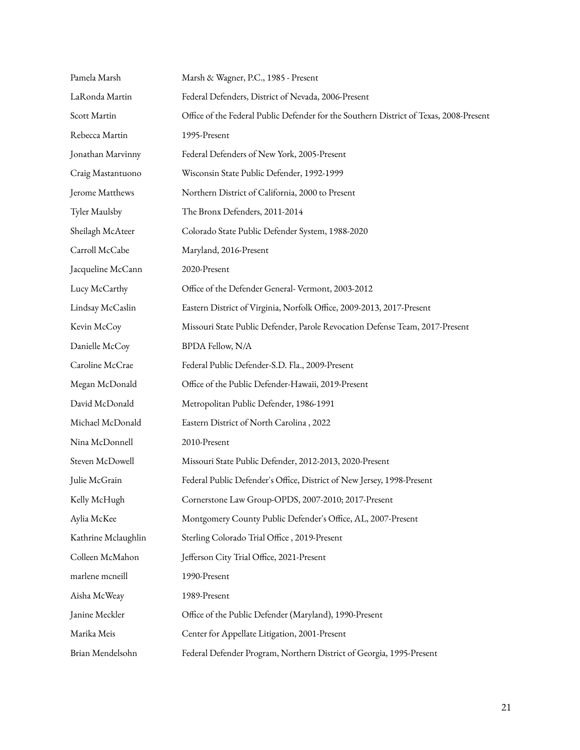| Pamela Marsh        | Marsh & Wagner, P.C., 1985 - Present                                                   |
|---------------------|----------------------------------------------------------------------------------------|
| LaRonda Martin      | Federal Defenders, District of Nevada, 2006-Present                                    |
| Scott Martin        | Office of the Federal Public Defender for the Southern District of Texas, 2008-Present |
| Rebecca Martin      | 1995-Present                                                                           |
| Jonathan Marvinny   | Federal Defenders of New York, 2005-Present                                            |
| Craig Mastantuono   | Wisconsin State Public Defender, 1992-1999                                             |
| Jerome Matthews     | Northern District of California, 2000 to Present                                       |
| Tyler Maulsby       | The Bronx Defenders, 2011-2014                                                         |
| Sheilagh McAteer    | Colorado State Public Defender System, 1988-2020                                       |
| Carroll McCabe      | Maryland, 2016-Present                                                                 |
| Jacqueline McCann   | 2020-Present                                                                           |
| Lucy McCarthy       | Office of the Defender General-Vermont, 2003-2012                                      |
| Lindsay McCaslin    | Eastern District of Virginia, Norfolk Office, 2009-2013, 2017-Present                  |
| Kevin McCoy         | Missouri State Public Defender, Parole Revocation Defense Team, 2017-Present           |
| Danielle McCoy      | <b>BPDA Fellow, N/A</b>                                                                |
| Caroline McCrae     | Federal Public Defender-S.D. Fla., 2009-Present                                        |
| Megan McDonald      | Office of the Public Defender-Hawaii, 2019-Present                                     |
| David McDonald      | Metropolitan Public Defender, 1986-1991                                                |
| Michael McDonald    | Eastern District of North Carolina, 2022                                               |
| Nina McDonnell      | 2010-Present                                                                           |
| Steven McDowell     | Missouri State Public Defender, 2012-2013, 2020-Present                                |
| Julie McGrain       | Federal Public Defender's Office, District of New Jersey, 1998-Present                 |
| Kelly McHugh        | Cornerstone Law Group-OPDS, 2007-2010; 2017-Present                                    |
| Aylia McKee         | Montgomery County Public Defender's Office, AL, 2007-Present                           |
| Kathrine Mclaughlin | Sterling Colorado Trial Office, 2019-Present                                           |
| Colleen McMahon     | Jefferson City Trial Office, 2021-Present                                              |
| marlene mcneill     | 1990-Present                                                                           |
| Aisha McWeay        | 1989-Present                                                                           |
| Janine Meckler      | Office of the Public Defender (Maryland), 1990-Present                                 |
| Marika Meis         | Center for Appellate Litigation, 2001-Present                                          |
| Brian Mendelsohn    | Federal Defender Program, Northern District of Georgia, 1995-Present                   |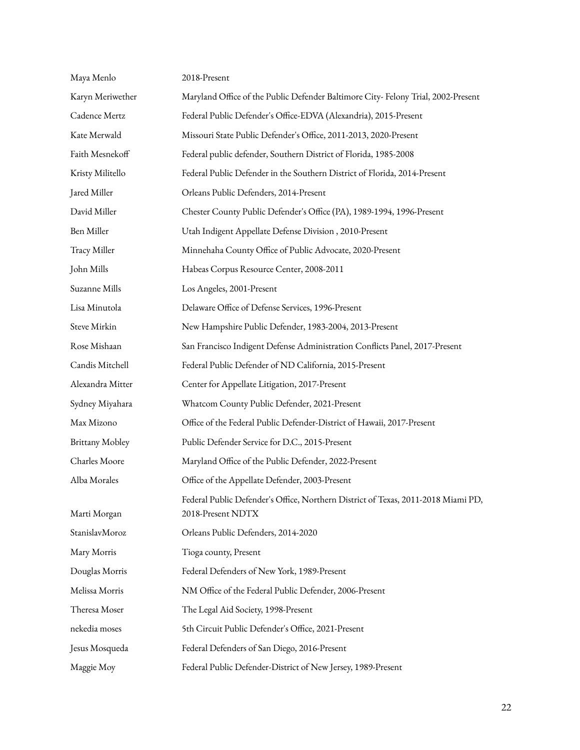| Maya Menlo             | 2018-Present                                                                                           |
|------------------------|--------------------------------------------------------------------------------------------------------|
| Karyn Meriwether       | Maryland Office of the Public Defender Baltimore City-Felony Trial, 2002-Present                       |
| Cadence Mertz          | Federal Public Defender's Office-EDVA (Alexandria), 2015-Present                                       |
| Kate Merwald           | Missouri State Public Defender's Office, 2011-2013, 2020-Present                                       |
| Faith Mesnekoff        | Federal public defender, Southern District of Florida, 1985-2008                                       |
| Kristy Militello       | Federal Public Defender in the Southern District of Florida, 2014-Present                              |
| Jared Miller           | Orleans Public Defenders, 2014-Present                                                                 |
| David Miller           | Chester County Public Defender's Office (PA), 1989-1994, 1996-Present                                  |
| Ben Miller             | Utah Indigent Appellate Defense Division, 2010-Present                                                 |
| Tracy Miller           | Minnehaha County Office of Public Advocate, 2020-Present                                               |
| John Mills             | Habeas Corpus Resource Center, 2008-2011                                                               |
| Suzanne Mills          | Los Angeles, 2001-Present                                                                              |
| Lisa Minutola          | Delaware Office of Defense Services, 1996-Present                                                      |
| Steve Mirkin           | New Hampshire Public Defender, 1983-2004, 2013-Present                                                 |
| Rose Mishaan           | San Francisco Indigent Defense Administration Conflicts Panel, 2017-Present                            |
| Candis Mitchell        | Federal Public Defender of ND California, 2015-Present                                                 |
| Alexandra Mitter       | Center for Appellate Litigation, 2017-Present                                                          |
| Sydney Miyahara        | Whatcom County Public Defender, 2021-Present                                                           |
| Max Mizono             | Office of the Federal Public Defender-District of Hawaii, 2017-Present                                 |
| <b>Brittany Mobley</b> | Public Defender Service for D.C., 2015-Present                                                         |
| Charles Moore          | Maryland Office of the Public Defender, 2022-Present                                                   |
| Alba Morales           | Office of the Appellate Defender, 2003-Present                                                         |
| Marti Morgan           | Federal Public Defender's Office, Northern District of Texas, 2011-2018 Miami PD,<br>2018-Present NDTX |
| StanislavMoroz         | Orleans Public Defenders, 2014-2020                                                                    |
| Mary Morris            | Tioga county, Present                                                                                  |
| Douglas Morris         | Federal Defenders of New York, 1989-Present                                                            |
| Melissa Morris         | NM Office of the Federal Public Defender, 2006-Present                                                 |
| Theresa Moser          | The Legal Aid Society, 1998-Present                                                                    |
| nekedia moses          | 5th Circuit Public Defender's Office, 2021-Present                                                     |
| Jesus Mosqueda         | Federal Defenders of San Diego, 2016-Present                                                           |
| Maggie Moy             | Federal Public Defender-District of New Jersey, 1989-Present                                           |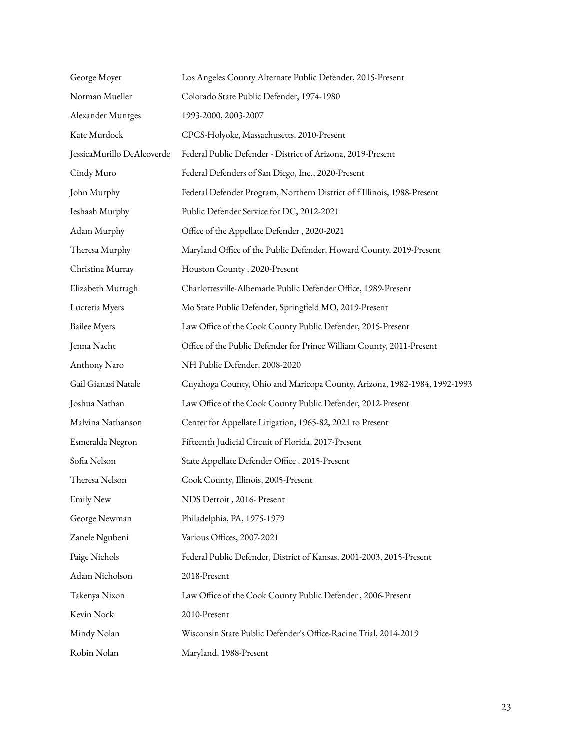| George Moyer               | Los Angeles County Alternate Public Defender, 2015-Present               |
|----------------------------|--------------------------------------------------------------------------|
| Norman Mueller             | Colorado State Public Defender, 1974-1980                                |
| Alexander Muntges          | 1993-2000, 2003-2007                                                     |
| Kate Murdock               | CPCS-Holyoke, Massachusetts, 2010-Present                                |
| JessicaMurillo DeAlcoverde | Federal Public Defender - District of Arizona, 2019-Present              |
| Cindy Muro                 | Federal Defenders of San Diego, Inc., 2020-Present                       |
| John Murphy                | Federal Defender Program, Northern District of f Illinois, 1988-Present  |
| Ieshaah Murphy             | Public Defender Service for DC, 2012-2021                                |
| Adam Murphy                | Office of the Appellate Defender, 2020-2021                              |
| Theresa Murphy             | Maryland Office of the Public Defender, Howard County, 2019-Present      |
| Christina Murray           | Houston County, 2020-Present                                             |
| Elizabeth Murtagh          | Charlottesville-Albemarle Public Defender Office, 1989-Present           |
| Lucretia Myers             | Mo State Public Defender, Springfield MO, 2019-Present                   |
| <b>Bailee Myers</b>        | Law Office of the Cook County Public Defender, 2015-Present              |
| Jenna Nacht                | Office of the Public Defender for Prince William County, 2011-Present    |
| Anthony Naro               | NH Public Defender, 2008-2020                                            |
| Gail Gianasi Natale        | Cuyahoga County, Ohio and Maricopa County, Arizona, 1982-1984, 1992-1993 |
| Joshua Nathan              | Law Office of the Cook County Public Defender, 2012-Present              |
| Malvina Nathanson          | Center for Appellate Litigation, 1965-82, 2021 to Present                |
| Esmeralda Negron           | Fifteenth Judicial Circuit of Florida, 2017-Present                      |
| Sofia Nelson               | State Appellate Defender Office, 2015-Present                            |
| Theresa Nelson             | Cook County, Illinois, 2005-Present                                      |
| <b>Emily New</b>           | NDS Detroit, 2016- Present                                               |
| George Newman              | Philadelphia, PA, 1975-1979                                              |
| Zanele Ngubeni             | Various Offices, 2007-2021                                               |
| Paige Nichols              | Federal Public Defender, District of Kansas, 2001-2003, 2015-Present     |
| Adam Nicholson             | 2018-Present                                                             |
| Takenya Nixon              | Law Office of the Cook County Public Defender, 2006-Present              |
| Kevin Nock                 | 2010-Present                                                             |
| Mindy Nolan                | Wisconsin State Public Defender's Office-Racine Trial, 2014-2019         |
| Robin Nolan                | Maryland, 1988-Present                                                   |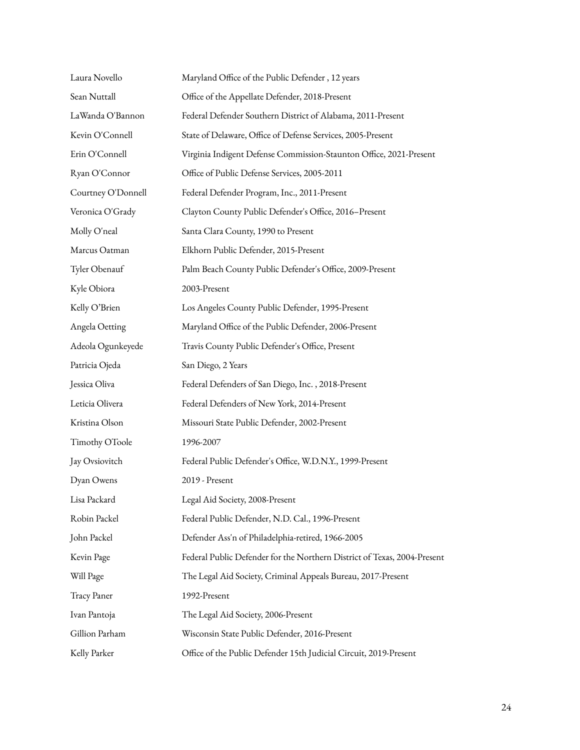| Laura Novello      | Maryland Office of the Public Defender, 12 years                         |
|--------------------|--------------------------------------------------------------------------|
| Sean Nuttall       | Office of the Appellate Defender, 2018-Present                           |
| LaWanda O'Bannon   | Federal Defender Southern District of Alabama, 2011-Present              |
| Kevin O'Connell    | State of Delaware, Office of Defense Services, 2005-Present              |
| Erin O'Connell     | Virginia Indigent Defense Commission-Staunton Office, 2021-Present       |
| Ryan O'Connor      | Office of Public Defense Services, 2005-2011                             |
| Courtney O'Donnell | Federal Defender Program, Inc., 2011-Present                             |
| Veronica O'Grady   | Clayton County Public Defender's Office, 2016-Present                    |
| Molly O'neal       | Santa Clara County, 1990 to Present                                      |
| Marcus Oatman      | Elkhorn Public Defender, 2015-Present                                    |
| Tyler Obenauf      | Palm Beach County Public Defender's Office, 2009-Present                 |
| Kyle Obiora        | 2003-Present                                                             |
| Kelly O'Brien      | Los Angeles County Public Defender, 1995-Present                         |
| Angela Oetting     | Maryland Office of the Public Defender, 2006-Present                     |
| Adeola Ogunkeyede  | Travis County Public Defender's Office, Present                          |
| Patricia Ojeda     | San Diego, 2 Years                                                       |
| Jessica Oliva      | Federal Defenders of San Diego, Inc., 2018-Present                       |
| Leticia Olivera    | Federal Defenders of New York, 2014-Present                              |
| Kristina Olson     | Missouri State Public Defender, 2002-Present                             |
| Timothy OToole     | 1996-2007                                                                |
| Jay Ovsiovitch     | Federal Public Defender's Office, W.D.N.Y., 1999-Present                 |
| Dyan Owens         | 2019 - Present                                                           |
| Lisa Packard       | Legal Aid Society, 2008-Present                                          |
| Robin Packel       | Federal Public Defender, N.D. Cal., 1996-Present                         |
| John Packel        | Defender Ass'n of Philadelphia-retired, 1966-2005                        |
| Kevin Page         | Federal Public Defender for the Northern District of Texas, 2004-Present |
| Will Page          | The Legal Aid Society, Criminal Appeals Bureau, 2017-Present             |
| Tracy Paner        | 1992-Present                                                             |
| Ivan Pantoja       | The Legal Aid Society, 2006-Present                                      |
| Gillion Parham     | Wisconsin State Public Defender, 2016-Present                            |
| Kelly Parker       | Office of the Public Defender 15th Judicial Circuit, 2019-Present        |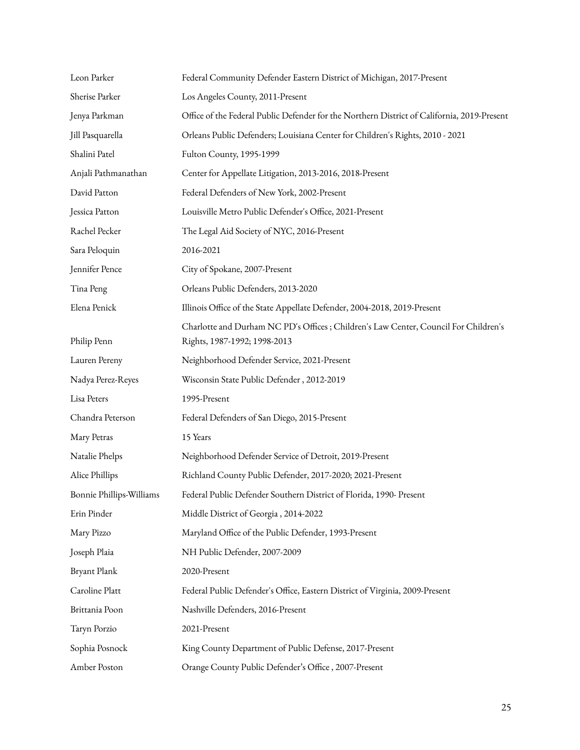| Leon Parker              | Federal Community Defender Eastern District of Michigan, 2017-Present                                                |
|--------------------------|----------------------------------------------------------------------------------------------------------------------|
| Sherise Parker           | Los Angeles County, 2011-Present                                                                                     |
| Jenya Parkman            | Office of the Federal Public Defender for the Northern District of California, 2019-Present                          |
| Jill Pasquarella         | Orleans Public Defenders; Louisiana Center for Children's Rights, 2010 - 2021                                        |
| Shalini Patel            | Fulton County, 1995-1999                                                                                             |
| Anjali Pathmanathan      | Center for Appellate Litigation, 2013-2016, 2018-Present                                                             |
| David Patton             | Federal Defenders of New York, 2002-Present                                                                          |
| Jessica Patton           | Louisville Metro Public Defender's Office, 2021-Present                                                              |
| Rachel Pecker            | The Legal Aid Society of NYC, 2016-Present                                                                           |
| Sara Peloquin            | 2016-2021                                                                                                            |
| Jennifer Pence           | City of Spokane, 2007-Present                                                                                        |
| Tina Peng                | Orleans Public Defenders, 2013-2020                                                                                  |
| Elena Penick             | Illinois Office of the State Appellate Defender, 2004-2018, 2019-Present                                             |
| Philip Penn              | Charlotte and Durham NC PD's Offices ; Children's Law Center, Council For Children's<br>Rights, 1987-1992; 1998-2013 |
| Lauren Pereny            | Neighborhood Defender Service, 2021-Present                                                                          |
| Nadya Perez-Reyes        | Wisconsin State Public Defender, 2012-2019                                                                           |
| Lisa Peters              | 1995-Present                                                                                                         |
| Chandra Peterson         | Federal Defenders of San Diego, 2015-Present                                                                         |
| Mary Petras              | 15 Years                                                                                                             |
| Natalie Phelps           | Neighborhood Defender Service of Detroit, 2019-Present                                                               |
| Alice Phillips           | Richland County Public Defender, 2017-2020; 2021-Present                                                             |
| Bonnie Phillips-Williams | Federal Public Defender Southern District of Florida, 1990- Present                                                  |
| Erin Pinder              | Middle District of Georgia, 2014-2022                                                                                |
| Mary Pizzo               | Maryland Office of the Public Defender, 1993-Present                                                                 |
| Joseph Plaia             | NH Public Defender, 2007-2009                                                                                        |
| Bryant Plank             | 2020-Present                                                                                                         |
| Caroline Platt           | Federal Public Defender's Office, Eastern District of Virginia, 2009-Present                                         |
| Brittania Poon           | Nashville Defenders, 2016-Present                                                                                    |
| Taryn Porzio             | 2021-Present                                                                                                         |
| Sophia Posnock           | King County Department of Public Defense, 2017-Present                                                               |
| Amber Poston             | Orange County Public Defender's Office, 2007-Present                                                                 |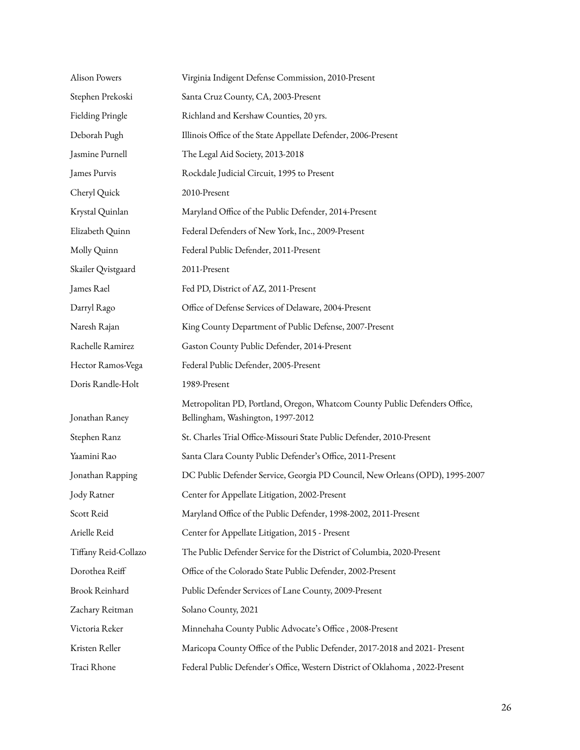| <b>Alison Powers</b> | Virginia Indigent Defense Commission, 2010-Present                                                              |
|----------------------|-----------------------------------------------------------------------------------------------------------------|
| Stephen Prekoski     | Santa Cruz County, CA, 2003-Present                                                                             |
| Fielding Pringle     | Richland and Kershaw Counties, 20 yrs.                                                                          |
| Deborah Pugh         | Illinois Office of the State Appellate Defender, 2006-Present                                                   |
| Jasmine Purnell      | The Legal Aid Society, 2013-2018                                                                                |
| James Purvis         | Rockdale Judicial Circuit, 1995 to Present                                                                      |
| Cheryl Quick         | 2010-Present                                                                                                    |
| Krystal Quinlan      | Maryland Office of the Public Defender, 2014-Present                                                            |
| Elizabeth Quinn      | Federal Defenders of New York, Inc., 2009-Present                                                               |
| Molly Quinn          | Federal Public Defender, 2011-Present                                                                           |
| Skailer Qvistgaard   | 2011-Present                                                                                                    |
| James Rael           | Fed PD, District of AZ, 2011-Present                                                                            |
| Darryl Rago          | Office of Defense Services of Delaware, 2004-Present                                                            |
| Naresh Rajan         | King County Department of Public Defense, 2007-Present                                                          |
| Rachelle Ramirez     | Gaston County Public Defender, 2014-Present                                                                     |
| Hector Ramos-Vega    | Federal Public Defender, 2005-Present                                                                           |
| Doris Randle-Holt    | 1989-Present                                                                                                    |
| Jonathan Raney       | Metropolitan PD, Portland, Oregon, Whatcom County Public Defenders Office,<br>Bellingham, Washington, 1997-2012 |
| Stephen Ranz         | St. Charles Trial Office-Missouri State Public Defender, 2010-Present                                           |
| Yaamini Rao          | Santa Clara County Public Defender's Office, 2011-Present                                                       |
| Jonathan Rapping     | DC Public Defender Service, Georgia PD Council, New Orleans (OPD), 1995-2007                                    |
| Jody Ratner          | Center for Appellate Litigation, 2002-Present                                                                   |
| Scott Reid           | Maryland Office of the Public Defender, 1998-2002, 2011-Present                                                 |
| Arielle Reid         | Center for Appellate Litigation, 2015 - Present                                                                 |
| Tiffany Reid-Collazo | The Public Defender Service for the District of Columbia, 2020-Present                                          |
| Dorothea Reiff       | Office of the Colorado State Public Defender, 2002-Present                                                      |
| Brook Reinhard       | Public Defender Services of Lane County, 2009-Present                                                           |
| Zachary Reitman      | Solano County, 2021                                                                                             |
| Victoria Reker       | Minnehaha County Public Advocate's Office, 2008-Present                                                         |
| Kristen Reller       | Maricopa County Office of the Public Defender, 2017-2018 and 2021- Present                                      |
| Traci Rhone          | Federal Public Defender's Office, Western District of Oklahoma, 2022-Present                                    |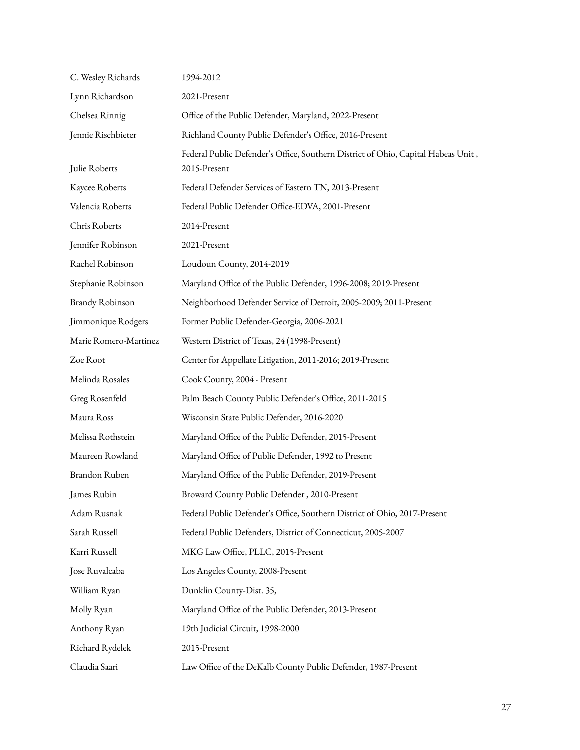| C. Wesley Richards    | 1994-2012                                                                                         |
|-----------------------|---------------------------------------------------------------------------------------------------|
| Lynn Richardson       | 2021-Present                                                                                      |
| Chelsea Rinnig        | Office of the Public Defender, Maryland, 2022-Present                                             |
| Jennie Rischbieter    | Richland County Public Defender's Office, 2016-Present                                            |
| Julie Roberts         | Federal Public Defender's Office, Southern District of Ohio, Capital Habeas Unit,<br>2015-Present |
| Kaycee Roberts        | Federal Defender Services of Eastern TN, 2013-Present                                             |
| Valencia Roberts      | Federal Public Defender Office-EDVA, 2001-Present                                                 |
| Chris Roberts         | 2014-Present                                                                                      |
| Jennifer Robinson     | 2021-Present                                                                                      |
| Rachel Robinson       | Loudoun County, 2014-2019                                                                         |
| Stephanie Robinson    | Maryland Office of the Public Defender, 1996-2008; 2019-Present                                   |
| Brandy Robinson       | Neighborhood Defender Service of Detroit, 2005-2009; 2011-Present                                 |
| Jimmonique Rodgers    | Former Public Defender-Georgia, 2006-2021                                                         |
| Marie Romero-Martinez | Western District of Texas, 24 (1998-Present)                                                      |
| Zoe Root              | Center for Appellate Litigation, 2011-2016; 2019-Present                                          |
| Melinda Rosales       | Cook County, 2004 - Present                                                                       |
| Greg Rosenfeld        | Palm Beach County Public Defender's Office, 2011-2015                                             |
| Maura Ross            | Wisconsin State Public Defender, 2016-2020                                                        |
| Melissa Rothstein     | Maryland Office of the Public Defender, 2015-Present                                              |
| Maureen Rowland       | Maryland Office of Public Defender, 1992 to Present                                               |
| Brandon Ruben         | Maryland Office of the Public Defender, 2019-Present                                              |
| James Rubin           | Broward County Public Defender, 2010-Present                                                      |
| Adam Rusnak           | Federal Public Defender's Office, Southern District of Ohio, 2017-Present                         |
| Sarah Russell         | Federal Public Defenders, District of Connecticut, 2005-2007                                      |
| Karri Russell         | MKG Law Office, PLLC, 2015-Present                                                                |
| Jose Ruvalcaba        | Los Angeles County, 2008-Present                                                                  |
| William Ryan          | Dunklin County-Dist. 35,                                                                          |
| Molly Ryan            | Maryland Office of the Public Defender, 2013-Present                                              |
| Anthony Ryan          | 19th Judicial Circuit, 1998-2000                                                                  |
| Richard Rydelek       | 2015-Present                                                                                      |
| Claudia Saari         | Law Office of the DeKalb County Public Defender, 1987-Present                                     |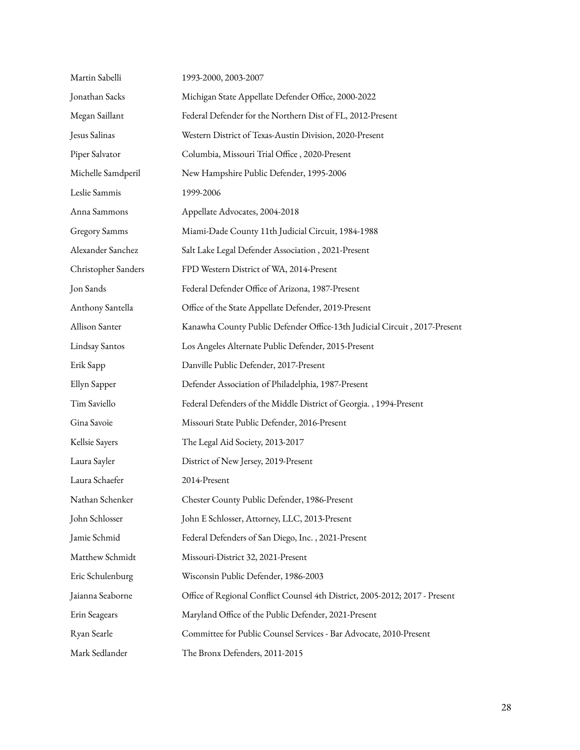| Martin Sabelli      | 1993-2000, 2003-2007                                                        |
|---------------------|-----------------------------------------------------------------------------|
| Jonathan Sacks      | Michigan State Appellate Defender Office, 2000-2022                         |
| Megan Saillant      | Federal Defender for the Northern Dist of FL, 2012-Present                  |
| Jesus Salinas       | Western District of Texas-Austin Division, 2020-Present                     |
| Piper Salvator      | Columbia, Missouri Trial Office, 2020-Present                               |
| Michelle Samdperil  | New Hampshire Public Defender, 1995-2006                                    |
| Leslie Sammis       | 1999-2006                                                                   |
| Anna Sammons        | Appellate Advocates, 2004-2018                                              |
| Gregory Samms       | Miami-Dade County 11th Judicial Circuit, 1984-1988                          |
| Alexander Sanchez   | Salt Lake Legal Defender Association, 2021-Present                          |
| Christopher Sanders | FPD Western District of WA, 2014-Present                                    |
| Jon Sands           | Federal Defender Office of Arizona, 1987-Present                            |
| Anthony Santella    | Office of the State Appellate Defender, 2019-Present                        |
| Allison Santer      | Kanawha County Public Defender Office-13th Judicial Circuit, 2017-Present   |
| Lindsay Santos      | Los Angeles Alternate Public Defender, 2015-Present                         |
| Erik Sapp           | Danville Public Defender, 2017-Present                                      |
| Ellyn Sapper        | Defender Association of Philadelphia, 1987-Present                          |
| Tim Saviello        | Federal Defenders of the Middle District of Georgia., 1994-Present          |
| Gina Savoie         | Missouri State Public Defender, 2016-Present                                |
| Kellsie Sayers      | The Legal Aid Society, 2013-2017                                            |
| Laura Sayler        | District of New Jersey, 2019-Present                                        |
| Laura Schaefer      | 2014-Present                                                                |
| Nathan Schenker     | Chester County Public Defender, 1986-Present                                |
| John Schlosser      | John E Schlosser, Attorney, LLC, 2013-Present                               |
| Jamie Schmid        | Federal Defenders of San Diego, Inc., 2021-Present                          |
| Matthew Schmidt     | Missouri-District 32, 2021-Present                                          |
| Eric Schulenburg    | Wisconsin Public Defender, 1986-2003                                        |
| Jaianna Seaborne    | Office of Regional Conflict Counsel 4th District, 2005-2012; 2017 - Present |
| Erin Seagears       | Maryland Office of the Public Defender, 2021-Present                        |
| Ryan Searle         | Committee for Public Counsel Services - Bar Advocate, 2010-Present          |
| Mark Sedlander      | The Bronx Defenders, 2011-2015                                              |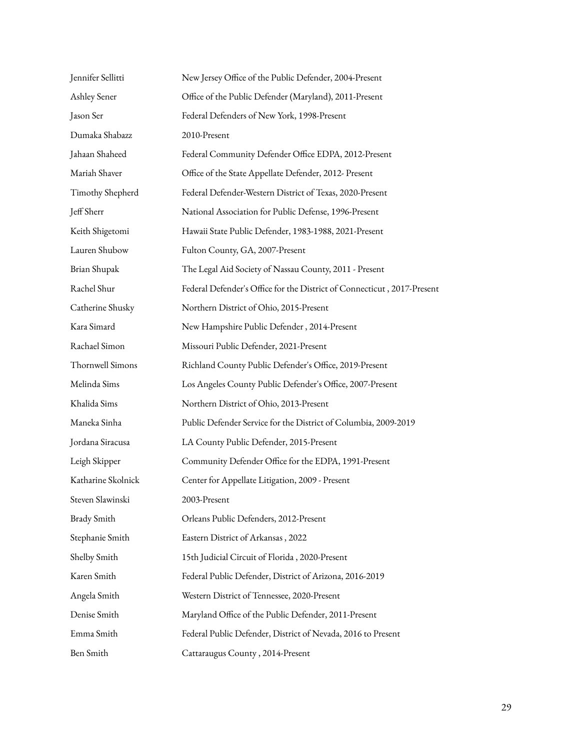| Jennifer Sellitti  | New Jersey Office of the Public Defender, 2004-Present                  |
|--------------------|-------------------------------------------------------------------------|
| Ashley Sener       | Office of the Public Defender (Maryland), 2011-Present                  |
| Jason Ser          | Federal Defenders of New York, 1998-Present                             |
| Dumaka Shabazz     | 2010-Present                                                            |
| Jahaan Shaheed     | Federal Community Defender Office EDPA, 2012-Present                    |
| Mariah Shaver      | Office of the State Appellate Defender, 2012- Present                   |
| Timothy Shepherd   | Federal Defender-Western District of Texas, 2020-Present                |
| Jeff Sherr         | National Association for Public Defense, 1996-Present                   |
| Keith Shigetomi    | Hawaii State Public Defender, 1983-1988, 2021-Present                   |
| Lauren Shubow      | Fulton County, GA, 2007-Present                                         |
| Brian Shupak       | The Legal Aid Society of Nassau County, 2011 - Present                  |
| Rachel Shur        | Federal Defender's Office for the District of Connecticut, 2017-Present |
| Catherine Shusky   | Northern District of Ohio, 2015-Present                                 |
| Kara Simard        | New Hampshire Public Defender, 2014-Present                             |
| Rachael Simon      | Missouri Public Defender, 2021-Present                                  |
| Thornwell Simons   | Richland County Public Defender's Office, 2019-Present                  |
| Melinda Sims       | Los Angeles County Public Defender's Office, 2007-Present               |
| Khalida Sims       | Northern District of Ohio, 2013-Present                                 |
| Maneka Sinha       | Public Defender Service for the District of Columbia, 2009-2019         |
| Jordana Siracusa   | LA County Public Defender, 2015-Present                                 |
| Leigh Skipper      | Community Defender Office for the EDPA, 1991-Present                    |
| Katharine Skolnick | Center for Appellate Litigation, 2009 - Present                         |
| Steven Slawinski   | 2003-Present                                                            |
| <b>Brady Smith</b> | Orleans Public Defenders, 2012-Present                                  |
| Stephanie Smith    | Eastern District of Arkansas, 2022                                      |
| Shelby Smith       | 15th Judicial Circuit of Florida, 2020-Present                          |
| Karen Smith        | Federal Public Defender, District of Arizona, 2016-2019                 |
| Angela Smith       | Western District of Tennessee, 2020-Present                             |
| Denise Smith       | Maryland Office of the Public Defender, 2011-Present                    |
| Emma Smith         | Federal Public Defender, District of Nevada, 2016 to Present            |
| Ben Smith          | Cattaraugus County, 2014-Present                                        |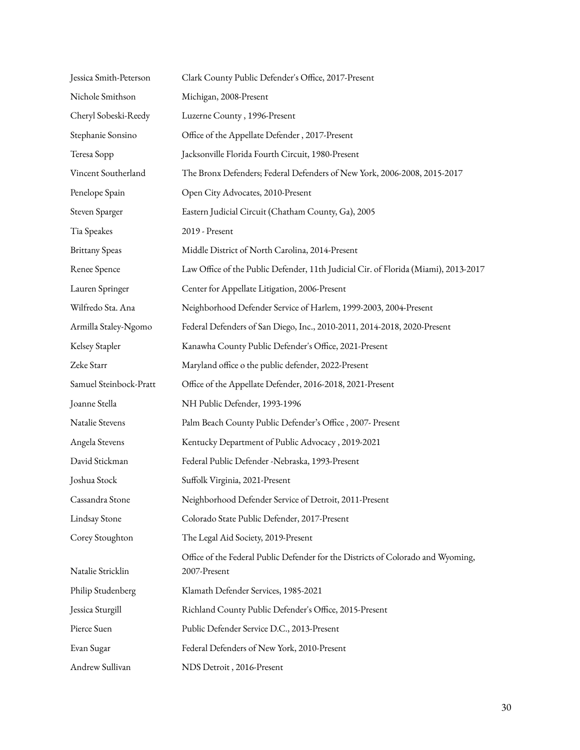| Jessica Smith-Peterson | Clark County Public Defender's Office, 2017-Present                                              |
|------------------------|--------------------------------------------------------------------------------------------------|
| Nichole Smithson       | Michigan, 2008-Present                                                                           |
| Cheryl Sobeski-Reedy   | Luzerne County, 1996-Present                                                                     |
| Stephanie Sonsino      | Office of the Appellate Defender, 2017-Present                                                   |
| Teresa Sopp            | Jacksonville Florida Fourth Circuit, 1980-Present                                                |
| Vincent Southerland    | The Bronx Defenders; Federal Defenders of New York, 2006-2008, 2015-2017                         |
| Penelope Spain         | Open City Advocates, 2010-Present                                                                |
| Steven Sparger         | Eastern Judicial Circuit (Chatham County, Ga), 2005                                              |
| Tia Speakes            | 2019 - Present                                                                                   |
| <b>Brittany Speas</b>  | Middle District of North Carolina, 2014-Present                                                  |
| Renee Spence           | Law Office of the Public Defender, 11th Judicial Cir. of Florida (Miami), 2013-2017              |
| Lauren Springer        | Center for Appellate Litigation, 2006-Present                                                    |
| Wilfredo Sta. Ana      | Neighborhood Defender Service of Harlem, 1999-2003, 2004-Present                                 |
| Armilla Staley-Ngomo   | Federal Defenders of San Diego, Inc., 2010-2011, 2014-2018, 2020-Present                         |
| Kelsey Stapler         | Kanawha County Public Defender's Office, 2021-Present                                            |
| Zeke Starr             | Maryland office o the public defender, 2022-Present                                              |
| Samuel Steinbock-Pratt | Office of the Appellate Defender, 2016-2018, 2021-Present                                        |
| Joanne Stella          | NH Public Defender, 1993-1996                                                                    |
| Natalie Stevens        | Palm Beach County Public Defender's Office, 2007- Present                                        |
| Angela Stevens         | Kentucky Department of Public Advocacy, 2019-2021                                                |
| David Stickman         | Federal Public Defender -Nebraska, 1993-Present                                                  |
| Joshua Stock           | Suffolk Virginia, 2021-Present                                                                   |
| Cassandra Stone        | Neighborhood Defender Service of Detroit, 2011-Present                                           |
| Lindsay Stone          | Colorado State Public Defender, 2017-Present                                                     |
| Corey Stoughton        | The Legal Aid Society, 2019-Present                                                              |
| Natalie Stricklin      | Office of the Federal Public Defender for the Districts of Colorado and Wyoming,<br>2007-Present |
| Philip Studenberg      | Klamath Defender Services, 1985-2021                                                             |
| Jessica Sturgill       | Richland County Public Defender's Office, 2015-Present                                           |
| Pierce Suen            | Public Defender Service D.C., 2013-Present                                                       |
| Evan Sugar             | Federal Defenders of New York, 2010-Present                                                      |
| Andrew Sullivan        | NDS Detroit, 2016-Present                                                                        |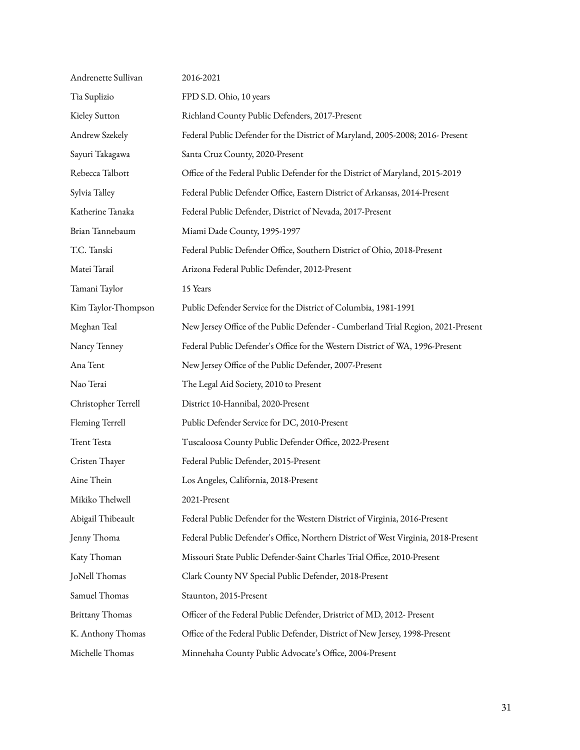| Andrenette Sullivan    | 2016-2021                                                                          |
|------------------------|------------------------------------------------------------------------------------|
| Tia Suplizio           | FPD S.D. Ohio, 10 years                                                            |
| Kieley Sutton          | Richland County Public Defenders, 2017-Present                                     |
| Andrew Szekely         | Federal Public Defender for the District of Maryland, 2005-2008; 2016- Present     |
| Sayuri Takagawa        | Santa Cruz County, 2020-Present                                                    |
| Rebecca Talbott        | Office of the Federal Public Defender for the District of Maryland, 2015-2019      |
| Sylvia Talley          | Federal Public Defender Office, Eastern District of Arkansas, 2014-Present         |
| Katherine Tanaka       | Federal Public Defender, District of Nevada, 2017-Present                          |
| Brian Tannebaum        | Miami Dade County, 1995-1997                                                       |
| T.C. Tanski            | Federal Public Defender Office, Southern District of Ohio, 2018-Present            |
| Matei Tarail           | Arizona Federal Public Defender, 2012-Present                                      |
| Tamani Taylor          | 15 Years                                                                           |
| Kim Taylor-Thompson    | Public Defender Service for the District of Columbia, 1981-1991                    |
| Meghan Teal            | New Jersey Office of the Public Defender - Cumberland Trial Region, 2021-Present   |
| Nancy Tenney           | Federal Public Defender's Office for the Western District of WA, 1996-Present      |
| Ana Tent               | New Jersey Office of the Public Defender, 2007-Present                             |
| Nao Terai              | The Legal Aid Society, 2010 to Present                                             |
| Christopher Terrell    | District 10-Hannibal, 2020-Present                                                 |
| Fleming Terrell        | Public Defender Service for DC, 2010-Present                                       |
| <b>Trent Testa</b>     | Tuscaloosa County Public Defender Office, 2022-Present                             |
| Cristen Thayer         | Federal Public Defender, 2015-Present                                              |
| Aine Thein             | Los Angeles, California, 2018-Present                                              |
| Mikiko Thelwell        | 2021-Present                                                                       |
| Abigail Thibeault      | Federal Public Defender for the Western District of Virginia, 2016-Present         |
| Jenny Thoma            | Federal Public Defender's Office, Northern District of West Virginia, 2018-Present |
| Katy Thoman            | Missouri State Public Defender-Saint Charles Trial Office, 2010-Present            |
| JoNell Thomas          | Clark County NV Special Public Defender, 2018-Present                              |
| Samuel Thomas          | Staunton, 2015-Present                                                             |
| <b>Brittany Thomas</b> | Officer of the Federal Public Defender, Dristrict of MD, 2012- Present             |
| K. Anthony Thomas      | Office of the Federal Public Defender, District of New Jersey, 1998-Present        |
| Michelle Thomas        | Minnehaha County Public Advocate's Office, 2004-Present                            |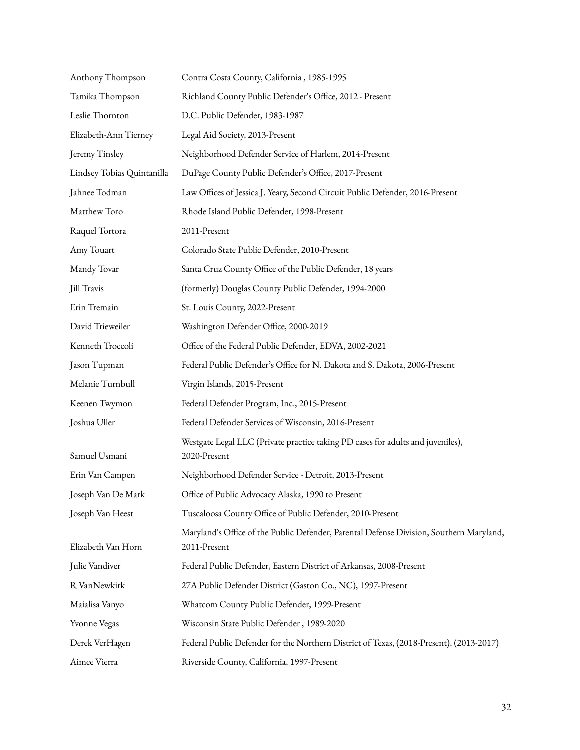| Anthony Thompson           | Contra Costa County, California, 1985-1995                                                              |
|----------------------------|---------------------------------------------------------------------------------------------------------|
| Tamika Thompson            | Richland County Public Defender's Office, 2012 - Present                                                |
| Leslie Thornton            | D.C. Public Defender, 1983-1987                                                                         |
| Elizabeth-Ann Tierney      | Legal Aid Society, 2013-Present                                                                         |
| Jeremy Tinsley             | Neighborhood Defender Service of Harlem, 2014-Present                                                   |
| Lindsey Tobias Quintanilla | DuPage County Public Defender's Office, 2017-Present                                                    |
| Jahnee Todman              | Law Offices of Jessica J. Yeary, Second Circuit Public Defender, 2016-Present                           |
| Matthew Toro               | Rhode Island Public Defender, 1998-Present                                                              |
| Raquel Tortora             | 2011-Present                                                                                            |
| Amy Touart                 | Colorado State Public Defender, 2010-Present                                                            |
| Mandy Tovar                | Santa Cruz County Office of the Public Defender, 18 years                                               |
| Jill Travis                | (formerly) Douglas County Public Defender, 1994-2000                                                    |
| Erin Tremain               | St. Louis County, 2022-Present                                                                          |
| David Trieweiler           | Washington Defender Office, 2000-2019                                                                   |
| Kenneth Troccoli           | Office of the Federal Public Defender, EDVA, 2002-2021                                                  |
| Jason Tupman               | Federal Public Defender's Office for N. Dakota and S. Dakota, 2006-Present                              |
| Melanie Turnbull           | Virgin Islands, 2015-Present                                                                            |
| Keenen Twymon              | Federal Defender Program, Inc., 2015-Present                                                            |
| Joshua Uller               | Federal Defender Services of Wisconsin, 2016-Present                                                    |
| Samuel Usmani              | Westgate Legal LLC (Private practice taking PD cases for adults and juveniles),<br>2020-Present         |
| Erin Van Campen            | Neighborhood Defender Service - Detroit, 2013-Present                                                   |
| Joseph Van De Mark         | Office of Public Advocacy Alaska, 1990 to Present                                                       |
| Joseph Van Heest           | Tuscaloosa County Office of Public Defender, 2010-Present                                               |
| Elizabeth Van Horn         | Maryland's Office of the Public Defender, Parental Defense Division, Southern Maryland,<br>2011-Present |
| Julie Vandiver             | Federal Public Defender, Eastern District of Arkansas, 2008-Present                                     |
| R VanNewkirk               | 27A Public Defender District (Gaston Co., NC), 1997-Present                                             |
| Maialisa Vanyo             | Whatcom County Public Defender, 1999-Present                                                            |
| Yvonne Vegas               | Wisconsin State Public Defender, 1989-2020                                                              |
| Derek VerHagen             | Federal Public Defender for the Northern District of Texas, (2018-Present), (2013-2017)                 |
| Aimee Vierra               | Riverside County, California, 1997-Present                                                              |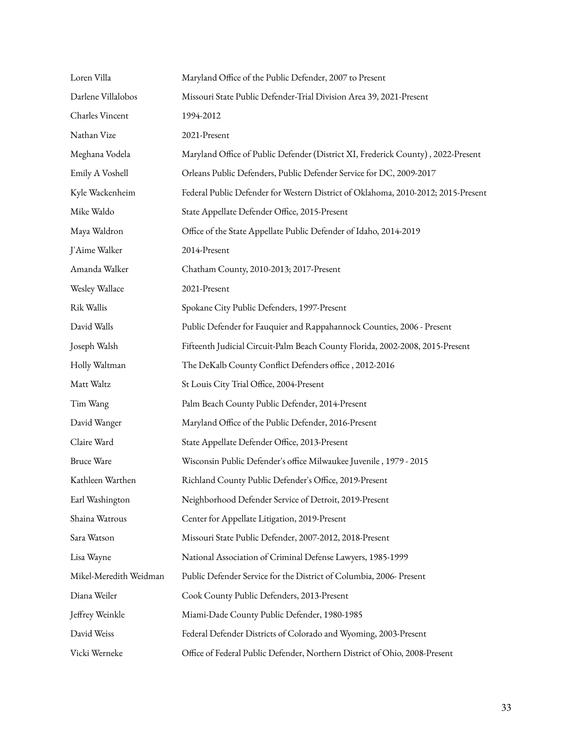| Loren Villa            | Maryland Office of the Public Defender, 2007 to Present                           |
|------------------------|-----------------------------------------------------------------------------------|
| Darlene Villalobos     | Missouri State Public Defender-Trial Division Area 39, 2021-Present               |
| Charles Vincent        | 1994-2012                                                                         |
| Nathan Vize            | 2021-Present                                                                      |
| Meghana Vodela         | Maryland Office of Public Defender (District XI, Frederick County), 2022-Present  |
| Emily A Voshell        | Orleans Public Defenders, Public Defender Service for DC, 2009-2017               |
| Kyle Wackenheim        | Federal Public Defender for Western District of Oklahoma, 2010-2012; 2015-Present |
| Mike Waldo             | State Appellate Defender Office, 2015-Present                                     |
| Maya Waldron           | Office of the State Appellate Public Defender of Idaho, 2014-2019                 |
| J'Aime Walker          | 2014-Present                                                                      |
| Amanda Walker          | Chatham County, 2010-2013; 2017-Present                                           |
| Wesley Wallace         | 2021-Present                                                                      |
| Rik Wallis             | Spokane City Public Defenders, 1997-Present                                       |
| David Walls            | Public Defender for Fauquier and Rappahannock Counties, 2006 - Present            |
| Joseph Walsh           | Fifteenth Judicial Circuit-Palm Beach County Florida, 2002-2008, 2015-Present     |
| Holly Waltman          | The DeKalb County Conflict Defenders office, 2012-2016                            |
| Matt Waltz             | St Louis City Trial Office, 2004-Present                                          |
| Tim Wang               | Palm Beach County Public Defender, 2014-Present                                   |
| David Wanger           | Maryland Office of the Public Defender, 2016-Present                              |
| Claire Ward            | State Appellate Defender Office, 2013-Present                                     |
| <b>Bruce Ware</b>      | Wisconsin Public Defender's office Milwaukee Juvenile, 1979 - 2015                |
| Kathleen Warthen       | Richland County Public Defender's Office, 2019-Present                            |
| Earl Washington        | Neighborhood Defender Service of Detroit, 2019-Present                            |
| Shaina Watrous         | Center for Appellate Litigation, 2019-Present                                     |
| Sara Watson            | Missouri State Public Defender, 2007-2012, 2018-Present                           |
| Lisa Wayne             | National Association of Criminal Defense Lawyers, 1985-1999                       |
| Mikel-Meredith Weidman | Public Defender Service for the District of Columbia, 2006- Present               |
| Diana Weiler           | Cook County Public Defenders, 2013-Present                                        |
| Jeffrey Weinkle        | Miami-Dade County Public Defender, 1980-1985                                      |
| David Weiss            | Federal Defender Districts of Colorado and Wyoming, 2003-Present                  |
| Vicki Werneke          | Office of Federal Public Defender, Northern District of Ohio, 2008-Present        |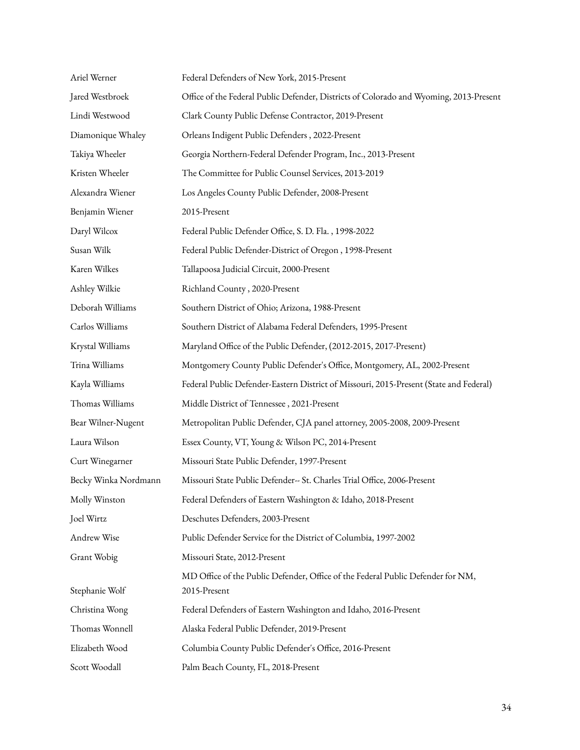| Ariel Werner         | Federal Defenders of New York, 2015-Present                                                     |
|----------------------|-------------------------------------------------------------------------------------------------|
| Jared Westbroek      | Office of the Federal Public Defender, Districts of Colorado and Wyoming, 2013-Present          |
| Lindi Westwood       | Clark County Public Defense Contractor, 2019-Present                                            |
| Diamonique Whaley    | Orleans Indigent Public Defenders, 2022-Present                                                 |
| Takiya Wheeler       | Georgia Northern-Federal Defender Program, Inc., 2013-Present                                   |
| Kristen Wheeler      | The Committee for Public Counsel Services, 2013-2019                                            |
| Alexandra Wiener     | Los Angeles County Public Defender, 2008-Present                                                |
| Benjamin Wiener      | 2015-Present                                                                                    |
| Daryl Wilcox         | Federal Public Defender Office, S. D. Fla., 1998-2022                                           |
| Susan Wilk           | Federal Public Defender-District of Oregon, 1998-Present                                        |
| Karen Wilkes         | Tallapoosa Judicial Circuit, 2000-Present                                                       |
| Ashley Wilkie        | Richland County, 2020-Present                                                                   |
| Deborah Williams     | Southern District of Ohio; Arizona, 1988-Present                                                |
| Carlos Williams      | Southern District of Alabama Federal Defenders, 1995-Present                                    |
| Krystal Williams     | Maryland Office of the Public Defender, (2012-2015, 2017-Present)                               |
| Trina Williams       | Montgomery County Public Defender's Office, Montgomery, AL, 2002-Present                        |
| Kayla Williams       | Federal Public Defender-Eastern District of Missouri, 2015-Present (State and Federal)          |
| Thomas Williams      | Middle District of Tennessee, 2021-Present                                                      |
| Bear Wilner-Nugent   | Metropolitan Public Defender, CJA panel attorney, 2005-2008, 2009-Present                       |
| Laura Wilson         | Essex County, VT, Young & Wilson PC, 2014-Present                                               |
| Curt Winegarner      | Missouri State Public Defender, 1997-Present                                                    |
| Becky Winka Nordmann | Missouri State Public Defender-- St. Charles Trial Office, 2006-Present                         |
| Molly Winston        | Federal Defenders of Eastern Washington & Idaho, 2018-Present                                   |
| Joel Wirtz           | Deschutes Defenders, 2003-Present                                                               |
| Andrew Wise          | Public Defender Service for the District of Columbia, 1997-2002                                 |
| Grant Wobig          | Missouri State, 2012-Present                                                                    |
| Stephanie Wolf       | MD Office of the Public Defender, Office of the Federal Public Defender for NM,<br>2015-Present |
| Christina Wong       | Federal Defenders of Eastern Washington and Idaho, 2016-Present                                 |
| Thomas Wonnell       | Alaska Federal Public Defender, 2019-Present                                                    |
| Elizabeth Wood       | Columbia County Public Defender's Office, 2016-Present                                          |
| Scott Woodall        | Palm Beach County, FL, 2018-Present                                                             |